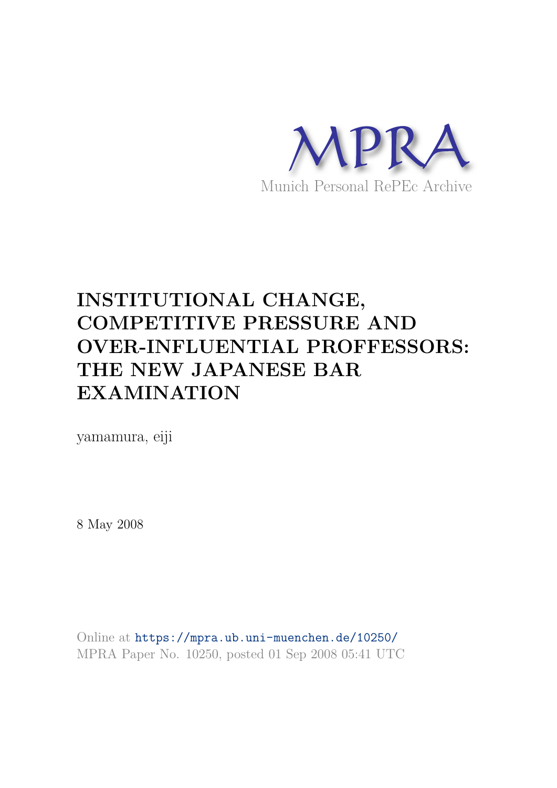

# **INSTITUTIONAL CHANGE, COMPETITIVE PRESSURE AND OVER-INFLUENTIAL PROFFESSORS: THE NEW JAPANESE BAR EXAMINATION**

yamamura, eiji

8 May 2008

Online at https://mpra.ub.uni-muenchen.de/10250/ MPRA Paper No. 10250, posted 01 Sep 2008 05:41 UTC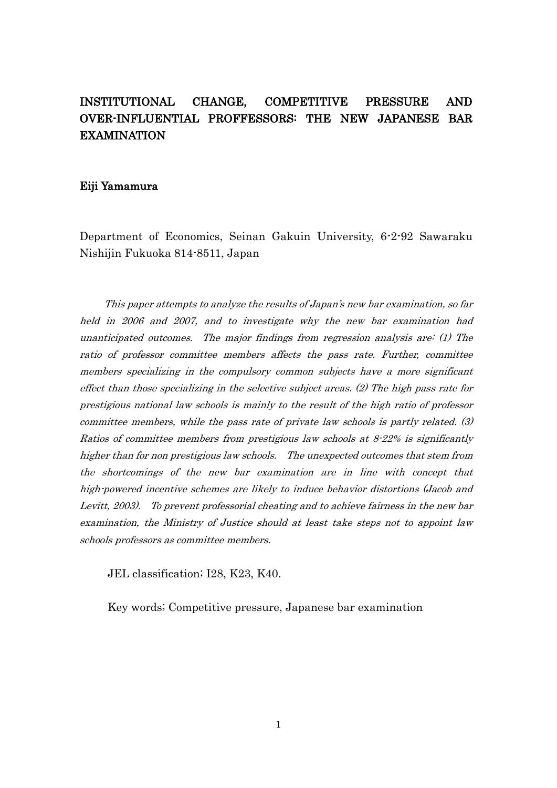# INSTITUTIONAL CHANGE, COMPETITIVE PRESSURE AND OVER-INFLUENTIAL PROFFESSORS: THE NEW JAPANESE BAR EXAMINATION

#### Eiji Yamamura

Department of Economics, Seinan Gakuin University, 6-2-92 Sawaraku Nishijin Fukuoka 814-8511, Japan

This paper attempts to analyze the results of Japan's new bar examination, so far held in 2006 and 2007, and to investigate why the new bar examination had unanticipated outcomes. The major findings from regression analysis are: (1) The ratio of professor committee members affects the pass rate. Further, committee members specializing in the compulsory common subjects have a more significant effect than those specializing in the selective subject areas.  $(2)$  The high pass rate for prestigious national law schools is mainly to the result of the high ratio of professor committee members, while the pass rate of private law schools is partly related. (3) Ratios of committee members from prestigious law schools at  $8-22\%$  is significantly higher than for non prestigious law schools. The unexpected outcomes that stem from the shortcomings of the new bar examination are in line with concept that high-powered incentive schemes are likely to induce behavior distortions (Jacob and Levitt, 2003). To prevent professorial cheating and to achieve fairness in the new bar examination, the Ministry of Justice should at least take steps not to appoint law schools professors as committee members.

JEL classification; I28, K23, K40.

Key words; Competitive pressure, Japanese bar examination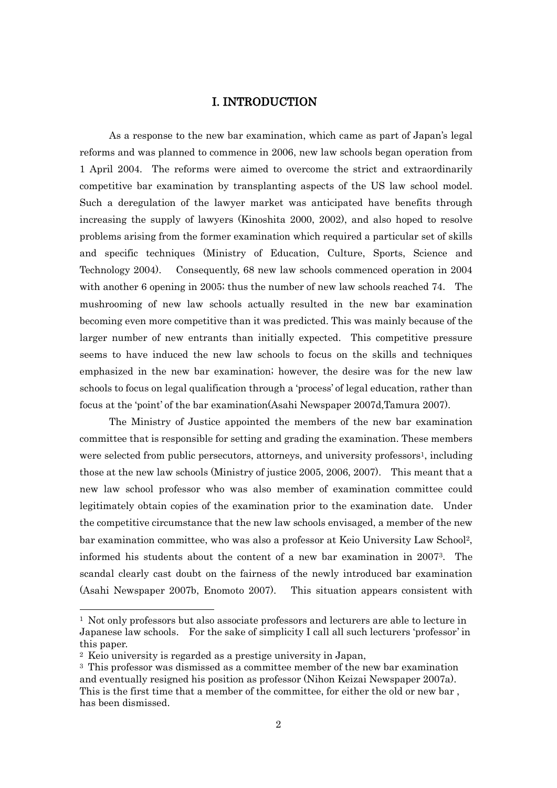#### I. INTRODUCTION

As a response to the new bar examination, which came as part of Japan"s legal reforms and was planned to commence in 2006, new law schools began operation from 1 April 2004. The reforms were aimed to overcome the strict and extraordinarily competitive bar examination by transplanting aspects of the US law school model. Such a deregulation of the lawyer market was anticipated have benefits through increasing the supply of lawyers (Kinoshita 2000, 2002), and also hoped to resolve problems arising from the former examination which required a particular set of skills and specific techniques (Ministry of Education, Culture, Sports, Science and Technology 2004). Consequently, 68 new law schools commenced operation in 2004 with another 6 opening in 2005; thus the number of new law schools reached 74. The mushrooming of new law schools actually resulted in the new bar examination becoming even more competitive than it was predicted. This was mainly because of the larger number of new entrants than initially expected. This competitive pressure seems to have induced the new law schools to focus on the skills and techniques emphasized in the new bar examination; however, the desire was for the new law schools to focus on legal qualification through a "process" of legal education, rather than focus at the "point" of the bar examination(Asahi Newspaper 2007d,Tamura 2007).

The Ministry of Justice appointed the members of the new bar examination committee that is responsible for setting and grading the examination. These members were selected from public persecutors, attorneys, and university professors<sup>1</sup>, including those at the new law schools (Ministry of justice 2005, 2006, 2007). This meant that a new law school professor who was also member of examination committee could legitimately obtain copies of the examination prior to the examination date. Under the competitive circumstance that the new law schools envisaged, a member of the new bar examination committee, who was also a professor at Keio University Law School2, informed his students about the content of a new bar examination in 20073. The scandal clearly cast doubt on the fairness of the newly introduced bar examination (Asahi Newspaper 2007b, Enomoto 2007). This situation appears consistent with

-

 $1$  Not only professors but also associate professors and lecturers are able to lecture in Japanese law schools. For the sake of simplicity I call all such lecturers "professor" in this paper.

<sup>2</sup> Keio university is regarded as a prestige university in Japan,

<sup>3</sup> This professor was dismissed as a committee member of the new bar examination and eventually resigned his position as professor (Nihon Keizai Newspaper 2007a). This is the first time that a member of the committee, for either the old or new bar , has been dismissed.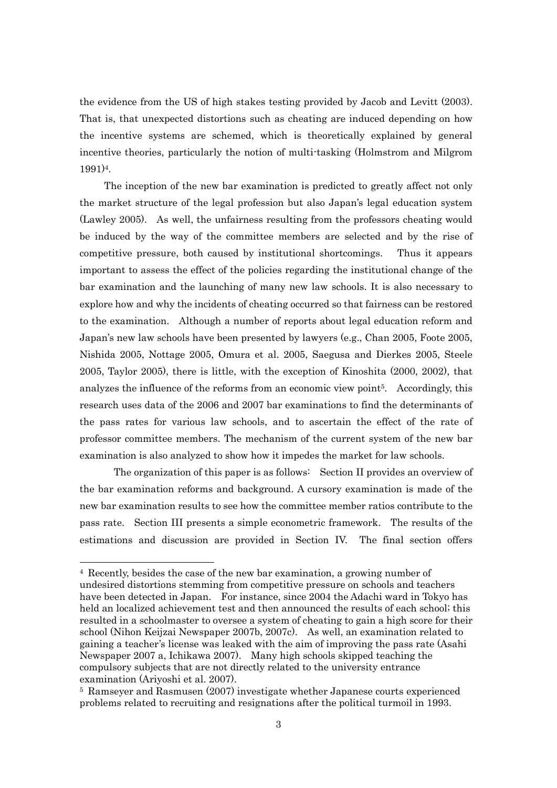the evidence from the US of high stakes testing provided by Jacob and Levitt (2003). That is, that unexpected distortions such as cheating are induced depending on how the incentive systems are schemed, which is theoretically explained by general incentive theories, particularly the notion of multi-tasking (Holmstrom and Milgrom 1991)4.

The inception of the new bar examination is predicted to greatly affect not only the market structure of the legal profession but also Japan"s legal education system (Lawley 2005). As well, the unfairness resulting from the professors cheating would be induced by the way of the committee members are selected and by the rise of competitive pressure, both caused by institutional shortcomings. Thus it appears important to assess the effect of the policies regarding the institutional change of the bar examination and the launching of many new law schools. It is also necessary to explore how and why the incidents of cheating occurred so that fairness can be restored to the examination. Although a number of reports about legal education reform and Japan"s new law schools have been presented by lawyers (e.g., Chan 2005, Foote 2005, Nishida 2005, Nottage 2005, Omura et al. 2005, Saegusa and Dierkes 2005, Steele 2005, Taylor 2005), there is little, with the exception of Kinoshita (2000, 2002), that analyzes the influence of the reforms from an economic view point5. Accordingly, this research uses data of the 2006 and 2007 bar examinations to find the determinants of the pass rates for various law schools, and to ascertain the effect of the rate of professor committee members. The mechanism of the current system of the new bar examination is also analyzed to show how it impedes the market for law schools.

 The organization of this paper is as follows: Section II provides an overview of the bar examination reforms and background. A cursory examination is made of the new bar examination results to see how the committee member ratios contribute to the pass rate. Section III presents a simple econometric framework. The results of the estimations and discussion are provided in Section IV. The final section offers

<sup>4</sup> Recently, besides the case of the new bar examination, a growing number of undesired distortions stemming from competitive pressure on schools and teachers have been detected in Japan. For instance, since 2004 the Adachi ward in Tokyo has held an localized achievement test and then announced the results of each school; this resulted in a schoolmaster to oversee a system of cheating to gain a high score for their school (Nihon Keijzai Newspaper 2007b, 2007c). As well, an examination related to gaining a teacher"s license was leaked with the aim of improving the pass rate (Asahi Newspaper 2007 a, Ichikawa 2007). Many high schools skipped teaching the compulsory subjects that are not directly related to the university entrance examination (Ariyoshi et al. 2007).

<sup>5</sup> Ramseyer and Rasmusen (2007) investigate whether Japanese courts experienced problems related to recruiting and resignations after the political turmoil in 1993.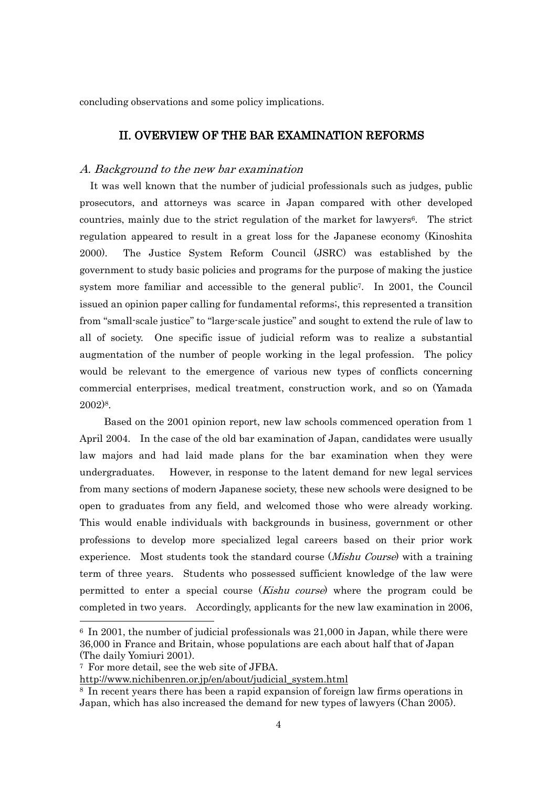concluding observations and some policy implications.

## II. OVERVIEW OF THE BAR EXAMINATION REFORMS

#### A. Background to the new bar examination

 It was well known that the number of judicial professionals such as judges, public prosecutors, and attorneys was scarce in Japan compared with other developed countries, mainly due to the strict regulation of the market for lawyers6. The strict regulation appeared to result in a great loss for the Japanese economy (Kinoshita 2000). The Justice System Reform Council (JSRC) was established by the government to study basic policies and programs for the purpose of making the justice system more familiar and accessible to the general public<sup>7</sup>. In 2001, the Council issued an opinion paper calling for fundamental reforms;, this represented a transition from "small-scale justice" to "large-scale justice" and sought to extend the rule of law to all of society. One specific issue of judicial reform was to realize a substantial augmentation of the number of people working in the legal profession. The policy would be relevant to the emergence of various new types of conflicts concerning commercial enterprises, medical treatment, construction work, and so on (Yamada 2002)8.

 Based on the 2001 opinion report, new law schools commenced operation from 1 April 2004. In the case of the old bar examination of Japan, candidates were usually law majors and had laid made plans for the bar examination when they were undergraduates. However, in response to the latent demand for new legal services from many sections of modern Japanese society, these new schools were designed to be open to graduates from any field, and welcomed those who were already working. This would enable individuals with backgrounds in business, government or other professions to develop more specialized legal careers based on their prior work experience. Most students took the standard course (*Mishu Course*) with a training term of three years. Students who possessed sufficient knowledge of the law were permitted to enter a special course (*Kishu course*) where the program could be completed in two years. Accordingly, applicants for the new law examination in 2006,

-

 $6 \text{ In } 2001$ , the number of judicial professionals was 21,000 in Japan, while there were 36,000 in France and Britain, whose populations are each about half that of Japan (The daily Yomiuri 2001).

<sup>7</sup> For more detail, see the web site of JFBA.

[http://www.nichibenren.or.jp/en/about/judicial\\_system.html](http://www.nichibenren.or.jp/en/about/judicial_system.html)

<sup>8</sup> In recent years there has been a rapid expansion of foreign law firms operations in Japan, which has also increased the demand for new types of lawyers (Chan 2005).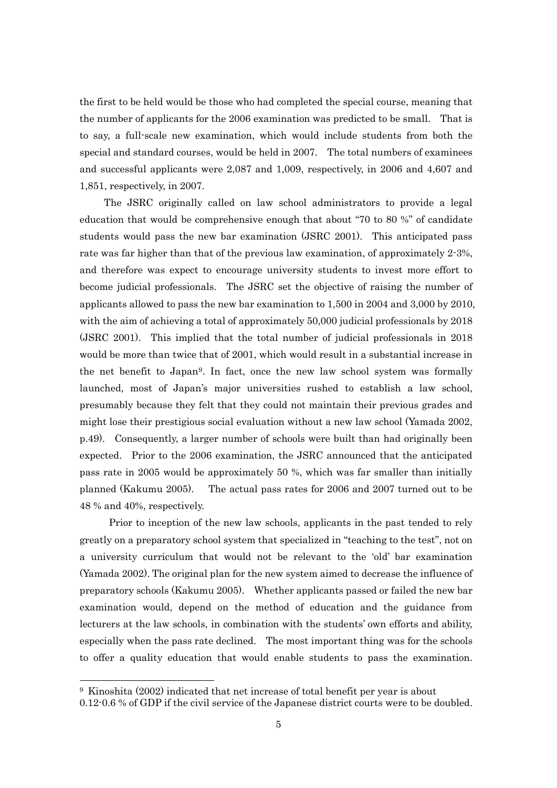the first to be held would be those who had completed the special course, meaning that the number of applicants for the 2006 examination was predicted to be small. That is to say, a full-scale new examination, which would include students from both the special and standard courses, would be held in 2007. The total numbers of examinees and successful applicants were 2,087 and 1,009, respectively, in 2006 and 4,607 and 1,851, respectively, in 2007.

 The JSRC originally called on law school administrators to provide a legal education that would be comprehensive enough that about "70 to 80 %" of candidate students would pass the new bar examination (JSRC 2001). This anticipated pass rate was far higher than that of the previous law examination, of approximately 2-3%, and therefore was expect to encourage university students to invest more effort to become judicial professionals. The JSRC set the objective of raising the number of applicants allowed to pass the new bar examination to 1,500 in 2004 and 3,000 by 2010, with the aim of achieving a total of approximately 50,000 judicial professionals by 2018 (JSRC 2001). This implied that the total number of judicial professionals in 2018 would be more than twice that of 2001, which would result in a substantial increase in the net benefit to Japan9. In fact, once the new law school system was formally launched, most of Japan"s major universities rushed to establish a law school, presumably because they felt that they could not maintain their previous grades and might lose their prestigious social evaluation without a new law school (Yamada 2002, p.49). Consequently, a larger number of schools were built than had originally been expected. Prior to the 2006 examination, the JSRC announced that the anticipated pass rate in 2005 would be approximately 50 %, which was far smaller than initially planned (Kakumu 2005). The actual pass rates for 2006 and 2007 turned out to be 48 % and 40%, respectively.

 Prior to inception of the new law schools, applicants in the past tended to rely greatly on a preparatory school system that specialized in "teaching to the test", not on a university curriculum that would not be relevant to the "old" bar examination (Yamada 2002). The original plan for the new system aimed to decrease the influence of preparatory schools (Kakumu 2005). Whether applicants passed or failed the new bar examination would, depend on the method of education and the guidance from lecturers at the law schools, in combination with the students" own efforts and ability, especially when the pass rate declined. The most important thing was for the schools to offer a quality education that would enable students to pass the examination.

<sup>9</sup> Kinoshita (2002) indicated that net increase of total benefit per year is about

<sup>0.12-0.6 %</sup> of GDP if the civil service of the Japanese district courts were to be doubled.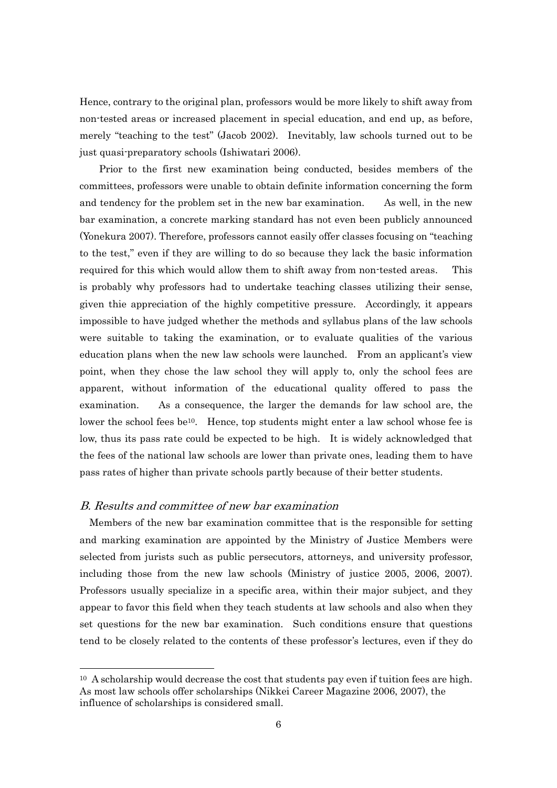Hence, contrary to the original plan, professors would be more likely to shift away from non-tested areas or increased placement in special education, and end up, as before, merely "teaching to the test" (Jacob 2002). Inevitably, law schools turned out to be just quasi-preparatory schools (Ishiwatari 2006).

 Prior to the first new examination being conducted, besides members of the committees, professors were unable to obtain definite information concerning the form and tendency for the problem set in the new bar examination. As well, in the new bar examination, a concrete marking standard has not even been publicly announced (Yonekura 2007). Therefore, professors cannot easily offer classes focusing on "teaching to the test," even if they are willing to do so because they lack the basic information required for this which would allow them to shift away from non-tested areas. This is probably why professors had to undertake teaching classes utilizing their sense, given thie appreciation of the highly competitive pressure. Accordingly, it appears impossible to have judged whether the methods and syllabus plans of the law schools were suitable to taking the examination, or to evaluate qualities of the various education plans when the new law schools were launched. From an applicant's view point, when they chose the law school they will apply to, only the school fees are apparent, without information of the educational quality offered to pass the examination. As a consequence, the larger the demands for law school are, the lower the school fees be<sup>10</sup>. Hence, top students might enter a law school whose fee is low, thus its pass rate could be expected to be high. It is widely acknowledged that the fees of the national law schools are lower than private ones, leading them to have pass rates of higher than private schools partly because of their better students.

#### B. Results and committee of new bar examination

1

 Members of the new bar examination committee that is the responsible for setting and marking examination are appointed by the Ministry of Justice Members were selected from jurists such as public persecutors, attorneys, and university professor, including those from the new law schools (Ministry of justice 2005, 2006, 2007). Professors usually specialize in a specific area, within their major subject, and they appear to favor this field when they teach students at law schools and also when they set questions for the new bar examination. Such conditions ensure that questions tend to be closely related to the contents of these professor's lectures, even if they do

 $10$  A scholarship would decrease the cost that students pay even if tuition fees are high. As most law schools offer scholarships (Nikkei Career Magazine 2006, 2007), the influence of scholarships is considered small.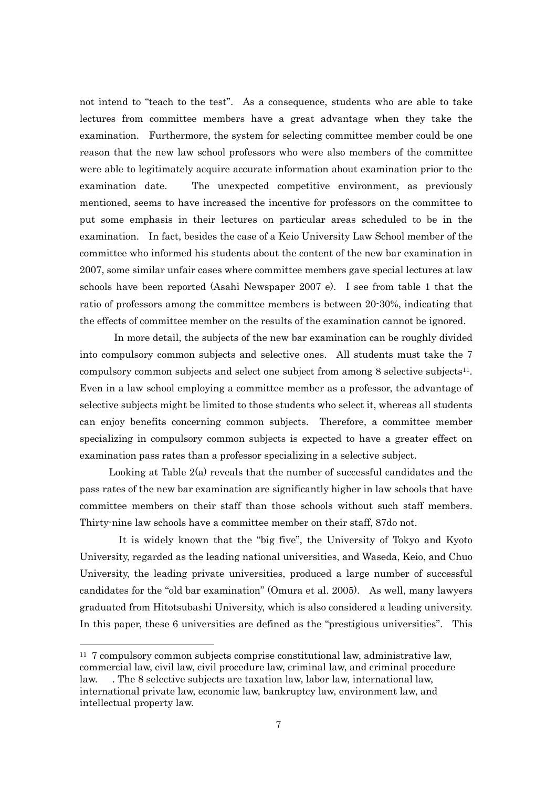not intend to "teach to the test". As a consequence, students who are able to take lectures from committee members have a great advantage when they take the examination. Furthermore, the system for selecting committee member could be one reason that the new law school professors who were also members of the committee were able to legitimately acquire accurate information about examination prior to the examination date. The unexpected competitive environment, as previously mentioned, seems to have increased the incentive for professors on the committee to put some emphasis in their lectures on particular areas scheduled to be in the examination. In fact, besides the case of a Keio University Law School member of the committee who informed his students about the content of the new bar examination in 2007, some similar unfair cases where committee members gave special lectures at law schools have been reported (Asahi Newspaper 2007 e). I see from table 1 that the ratio of professors among the committee members is between 20-30%, indicating that the effects of committee member on the results of the examination cannot be ignored.

In more detail, the subjects of the new bar examination can be roughly divided into compulsory common subjects and selective ones. All students must take the 7 compulsory common subjects and select one subject from among 8 selective subjects11. Even in a law school employing a committee member as a professor, the advantage of selective subjects might be limited to those students who select it, whereas all students can enjoy benefits concerning common subjects. Therefore, a committee member specializing in compulsory common subjects is expected to have a greater effect on examination pass rates than a professor specializing in a selective subject.

 Looking at Table 2(a) reveals that the number of successful candidates and the pass rates of the new bar examination are significantly higher in law schools that have committee members on their staff than those schools without such staff members. Thirty-nine law schools have a committee member on their staff, 87do not.

 It is widely known that the "big five", the University of Tokyo and Kyoto University, regarded as the leading national universities, and Waseda, Keio, and Chuo University, the leading private universities, produced a large number of successful candidates for the "old bar examination" (Omura et al. 2005). As well, many lawyers graduated from Hitotsubashi University, which is also considered a leading university. In this paper, these 6 universities are defined as the "prestigious universities". This

<sup>11</sup> 7 compulsory common subjects comprise constitutional law, administrative law, commercial law, civil law, civil procedure law, criminal law, and criminal procedure law. . The 8 selective subjects are taxation law, labor law, international law, international private law, economic law, bankruptcy law, environment law, and intellectual property law.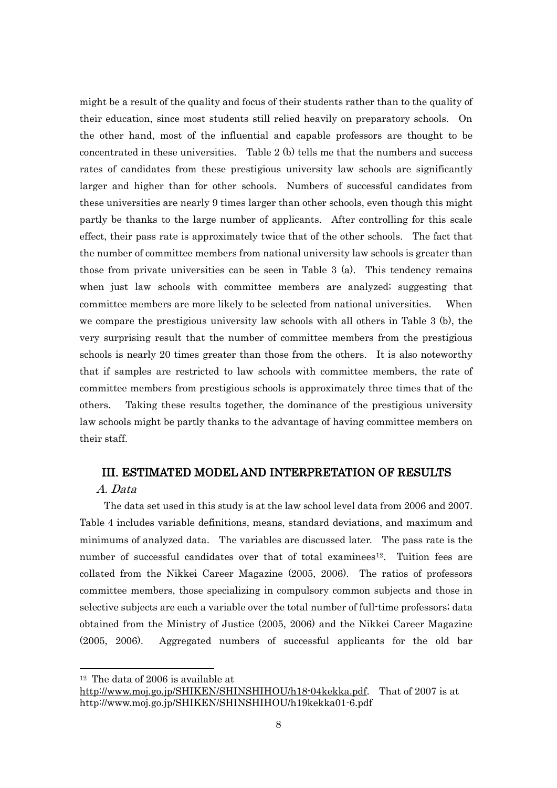might be a result of the quality and focus of their students rather than to the quality of their education, since most students still relied heavily on preparatory schools. On the other hand, most of the influential and capable professors are thought to be concentrated in these universities. Table 2 (b) tells me that the numbers and success rates of candidates from these prestigious university law schools are significantly larger and higher than for other schools. Numbers of successful candidates from these universities are nearly 9 times larger than other schools, even though this might partly be thanks to the large number of applicants. After controlling for this scale effect, their pass rate is approximately twice that of the other schools. The fact that the number of committee members from national university law schools is greater than those from private universities can be seen in Table 3 (a). This tendency remains when just law schools with committee members are analyzed; suggesting that committee members are more likely to be selected from national universities. When we compare the prestigious university law schools with all others in Table 3 (b), the very surprising result that the number of committee members from the prestigious schools is nearly 20 times greater than those from the others. It is also noteworthy that if samples are restricted to law schools with committee members, the rate of committee members from prestigious schools is approximately three times that of the others. Taking these results together, the dominance of the prestigious university law schools might be partly thanks to the advantage of having committee members on their staff.

# III. ESTIMATED MODEL AND INTERPRETATION OF RESULTS

## A. Data

1

 The data set used in this study is at the law school level data from 2006 and 2007. Table 4 includes variable definitions, means, standard deviations, and maximum and minimums of analyzed data. The variables are discussed later. The pass rate is the number of successful candidates over that of total examinees12. Tuition fees are collated from the Nikkei Career Magazine (2005, 2006). The ratios of professors committee members, those specializing in compulsory common subjects and those in selective subjects are each a variable over the total number of full-time professors; data obtained from the Ministry of Justice (2005, 2006) and the Nikkei Career Magazine (2005, 2006). Aggregated numbers of successful applicants for the old bar

<sup>12</sup> The data of 2006 is available at

[http://www.moj.go.jp/SHIKEN/SHINSHIHOU/h18-04kekka.pdf.](http://www.moj.go.jp/SHIKEN/SHINSHIHOU/h18-04kekka.pdf) That of 2007 is at http://www.moj.go.jp/SHIKEN/SHINSHIHOU/h19kekka01-6.pdf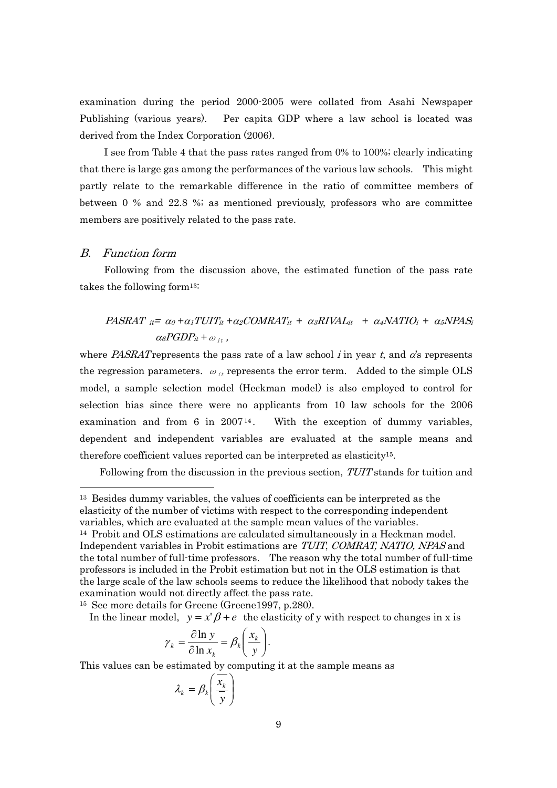examination during the period 2000-2005 were collated from Asahi Newspaper Publishing (various years). Per capita GDP where a law school is located was derived from the Index Corporation (2006).

 I see from Table 4 that the pass rates ranged from 0% to 100%; clearly indicating that there is large gas among the performances of the various law schools. This might partly relate to the remarkable difference in the ratio of committee members of between 0 % and 22.8 %; as mentioned previously, professors who are committee members are positively related to the pass rate.

#### B. Function form

1

 Following from the discussion above, the estimated function of the pass rate takes the following form13:

# PASRAT  $i\epsilon = \alpha_0 + \alpha_1 TUT_i t + \alpha_2 COMRAT_{it} + \alpha_3 RIVAL_{it} + \alpha_4 NATIO_i + \alpha_5 NPAS_i$  $\alpha_{6}PGDP_{it} + \omega_{it}$ ,

where *PASRAT* represents the pass rate of a law school *i* in year t, and  $\alpha$ 's represents the regression parameters.  $\omega_{it}$  represents the error term. Added to the simple OLS model, a sample selection model (Heckman model) is also employed to control for selection bias since there were no applicants from 10 law schools for the 2006 examination and from 6 in  $2007^{14}$ . With the exception of dummy variables, dependent and independent variables are evaluated at the sample means and therefore coefficient values reported can be interpreted as elasticity15.

Following from the discussion in the previous section,  $TUT$  stands for tuition and

<sup>15</sup> See more details for Greene (Greene1997, p.280).

In the linear model,  $y = x' \beta + e$  the elasticity of y with respect to changes in x is

$$
\gamma_k = \frac{\partial \ln y}{\partial \ln x_k} = \beta_k \left( \frac{x_k}{y} \right).
$$

This values can be estimated by computing it at the sample means as

$$
\lambda_k = \beta_k \left( \frac{\overline{x_k}}{\overline{y}} \right)
$$

<sup>&</sup>lt;sup>13</sup> Besides dummy variables, the values of coefficients can be interpreted as the elasticity of the number of victims with respect to the corresponding independent variables, which are evaluated at the sample mean values of the variables.

<sup>14</sup> Probit and OLS estimations are calculated simultaneously in a Heckman model. Independent variables in Probit estimations are TUIT, COMRAT, NATIO, NPAS and the total number of full-time professors. The reason why the total number of full-time professors is included in the Probit estimation but not in the OLS estimation is that the large scale of the law schools seems to reduce the likelihood that nobody takes the examination would not directly affect the pass rate.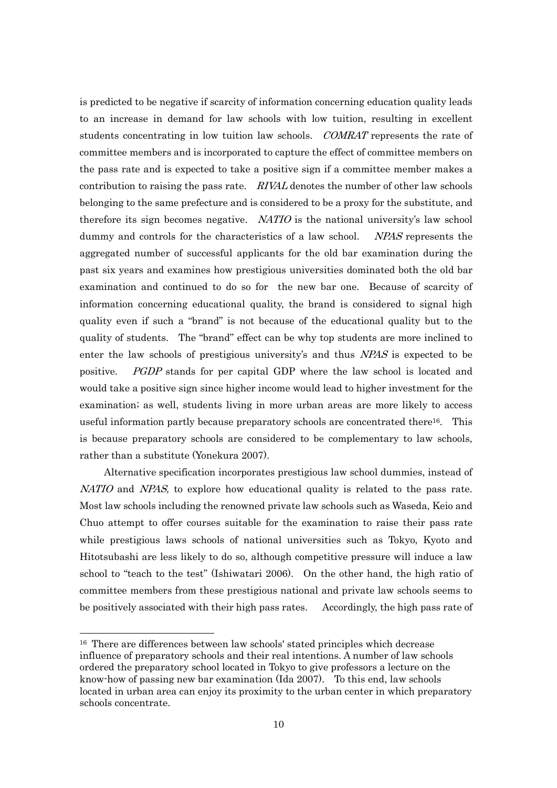is predicted to be negative if scarcity of information concerning education quality leads to an increase in demand for law schools with low tuition, resulting in excellent students concentrating in low tuition law schools. COMRAT represents the rate of committee members and is incorporated to capture the effect of committee members on the pass rate and is expected to take a positive sign if a committee member makes a contribution to raising the pass rate.  $RIVAL$  denotes the number of other law schools belonging to the same prefecture and is considered to be a proxy for the substitute, and therefore its sign becomes negative.  $NATIO$  is the national university's law school dummy and controls for the characteristics of a law school. NPAS represents the aggregated number of successful applicants for the old bar examination during the past six years and examines how prestigious universities dominated both the old bar examination and continued to do so for the new bar one. Because of scarcity of information concerning educational quality, the brand is considered to signal high quality even if such a "brand" is not because of the educational quality but to the quality of students. The "brand" effect can be why top students are more inclined to enter the law schools of prestigious university's and thus NPAS is expected to be positive. PGDP stands for per capital GDP where the law school is located and would take a positive sign since higher income would lead to higher investment for the examination; as well, students living in more urban areas are more likely to access useful information partly because preparatory schools are concentrated there16. This is because preparatory schools are considered to be complementary to law schools, rather than a substitute (Yonekura 2007).

 Alternative specification incorporates prestigious law school dummies, instead of NATIO and NPAS, to explore how educational quality is related to the pass rate. Most law schools including the renowned private law schools such as Waseda, Keio and Chuo attempt to offer courses suitable for the examination to raise their pass rate while prestigious laws schools of national universities such as Tokyo, Kyoto and Hitotsubashi are less likely to do so, although competitive pressure will induce a law school to "teach to the test" (Ishiwatari 2006). On the other hand, the high ratio of committee members from these prestigious national and private law schools seems to be positively associated with their high pass rates. Accordingly, the high pass rate of

<sup>16</sup> There are differences between law schools' stated principles which decrease influence of preparatory schools and their real intentions. A number of law schools ordered the preparatory school located in Tokyo to give professors a lecture on the know-how of passing new bar examination (Ida 2007). To this end, law schools located in urban area can enjoy its proximity to the urban center in which preparatory schools concentrate.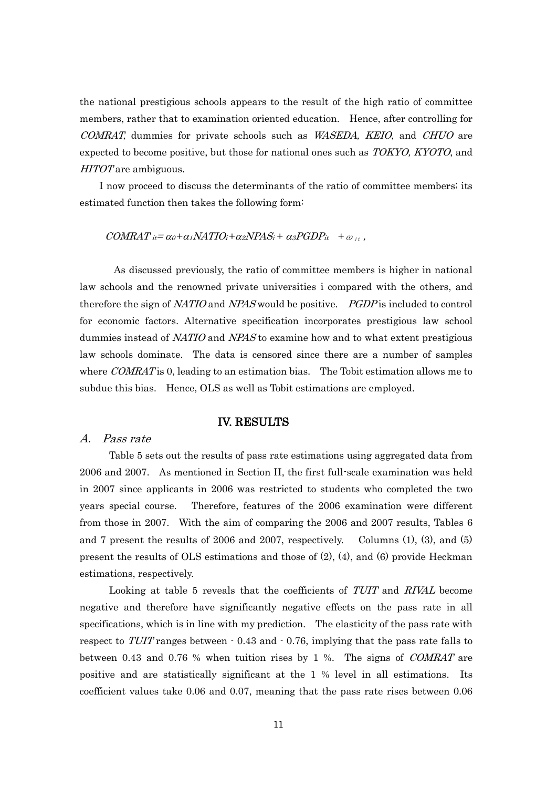the national prestigious schools appears to the result of the high ratio of committee members, rather that to examination oriented education. Hence, after controlling for COMRAT, dummies for private schools such as WASEDA, KEIO, and CHUO are expected to become positive, but those for national ones such as *TOKYO, KYOTO*, and HITOT are ambiguous.

I now proceed to discuss the determinants of the ratio of committee members; its estimated function then takes the following form:

#### $COMRAT_{it} = \alpha_0 + \alpha_1 NATIO_i + \alpha_2 NPAS_i + \alpha_3 PGDP_{it} + \omega_{it}$

 As discussed previously, the ratio of committee members is higher in national law schools and the renowned private universities i compared with the others, and therefore the sign of NATIO and NPAS would be positive. PGDP is included to control for economic factors. Alternative specification incorporates prestigious law school dummies instead of NATIO and NPAS to examine how and to what extent prestigious law schools dominate. The data is censored since there are a number of samples where COMRAT is 0, leading to an estimation bias. The Tobit estimation allows me to subdue this bias. Hence, OLS as well as Tobit estimations are employed.

#### IV. RESULTS

#### A. Pass rate

Table 5 sets out the results of pass rate estimations using aggregated data from 2006 and 2007. As mentioned in Section II, the first full-scale examination was held in 2007 since applicants in 2006 was restricted to students who completed the two years special course. Therefore, features of the 2006 examination were different from those in 2007. With the aim of comparing the 2006 and 2007 results, Tables 6 and 7 present the results of 2006 and 2007, respectively. Columns (1), (3), and (5) present the results of OLS estimations and those of (2), (4), and (6) provide Heckman estimations, respectively.

Looking at table 5 reveals that the coefficients of TUIT and RIVAL become negative and therefore have significantly negative effects on the pass rate in all specifications, which is in line with my prediction. The elasticity of the pass rate with respect to TUIT ranges between  $\cdot$  0.43 and  $\cdot$  0.76, implying that the pass rate falls to between 0.43 and 0.76 % when tuition rises by 1 %. The signs of COMRAT are positive and are statistically significant at the 1 % level in all estimations. Its coefficient values take 0.06 and 0.07, meaning that the pass rate rises between 0.06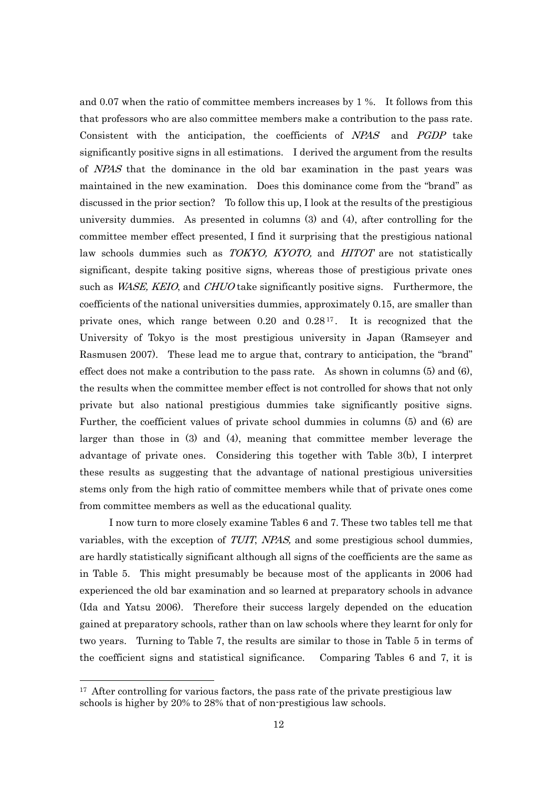and 0.07 when the ratio of committee members increases by 1 %. It follows from this that professors who are also committee members make a contribution to the pass rate. Consistent with the anticipation, the coefficients of NPAS and PGDP take significantly positive signs in all estimations. I derived the argument from the results of NPAS that the dominance in the old bar examination in the past years was maintained in the new examination. Does this dominance come from the "brand" as discussed in the prior section? To follow this up, I look at the results of the prestigious university dummies. As presented in columns (3) and (4), after controlling for the committee member effect presented, I find it surprising that the prestigious national law schools dummies such as *TOKYO, KYOTO*, and *HITOT* are not statistically significant, despite taking positive signs, whereas those of prestigious private ones such as *WASE, KEIO*, and *CHUO* take significantly positive signs. Furthermore, the coefficients of the national universities dummies, approximately 0.15, are smaller than private ones, which range between  $0.20$  and  $0.28^{17}$ . It is recognized that the University of Tokyo is the most prestigious university in Japan (Ramseyer and Rasmusen 2007). These lead me to argue that, contrary to anticipation, the "brand" effect does not make a contribution to the pass rate. As shown in columns (5) and (6), the results when the committee member effect is not controlled for shows that not only private but also national prestigious dummies take significantly positive signs. Further, the coefficient values of private school dummies in columns (5) and (6) are larger than those in (3) and (4), meaning that committee member leverage the advantage of private ones. Considering this together with Table 3(b), I interpret these results as suggesting that the advantage of national prestigious universities stems only from the high ratio of committee members while that of private ones come from committee members as well as the educational quality.

I now turn to more closely examine Tables 6 and 7. These two tables tell me that variables, with the exception of TUIT, NPAS, and some prestigious school dummies, are hardly statistically significant although all signs of the coefficients are the same as in Table 5. This might presumably be because most of the applicants in 2006 had experienced the old bar examination and so learned at preparatory schools in advance (Ida and Yatsu 2006). Therefore their success largely depended on the education gained at preparatory schools, rather than on law schools where they learnt for only for two years. Turning to Table 7, the results are similar to those in Table 5 in terms of the coefficient signs and statistical significance. Comparing Tables 6 and 7, it is

 $17$  After controlling for various factors, the pass rate of the private prestigious law schools is higher by 20% to 28% that of non-prestigious law schools.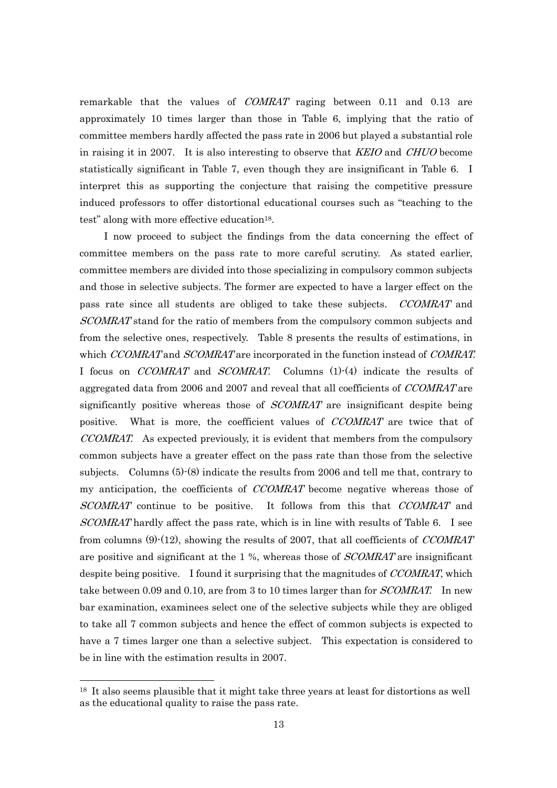remarkable that the values of COMRAT raging between 0.11 and 0.13 are approximately 10 times larger than those in Table 6, implying that the ratio of committee members hardly affected the pass rate in 2006 but played a substantial role in raising it in 2007. It is also interesting to observe that *KEIO* and *CHUO* become statistically significant in Table 7, even though they are insignificant in Table 6. I interpret this as supporting the conjecture that raising the competitive pressure induced professors to offer distortional educational courses such as "teaching to the test" along with more effective education<sup>18</sup>.

 I now proceed to subject the findings from the data concerning the effect of committee members on the pass rate to more careful scrutiny. As stated earlier, committee members are divided into those specializing in compulsory common subjects and those in selective subjects. The former are expected to have a larger effect on the pass rate since all students are obliged to take these subjects. *CCOMRAT* and SCOMRAT stand for the ratio of members from the compulsory common subjects and from the selective ones, respectively. Table 8 presents the results of estimations, in which CCOMRAT and SCOMRAT are incorporated in the function instead of COMRAT. I focus on *CCOMRAT* and *SCOMRAT*. Columns (1)-(4) indicate the results of aggregated data from 2006 and 2007 and reveal that all coefficients of *CCOMRAT* are significantly positive whereas those of *SCOMRAT* are insignificant despite being positive. What is more, the coefficient values of CCOMRAT are twice that of CCOMRAT. As expected previously, it is evident that members from the compulsory common subjects have a greater effect on the pass rate than those from the selective subjects. Columns (5)-(8) indicate the results from 2006 and tell me that, contrary to my anticipation, the coefficients of CCOMRAT become negative whereas those of SCOMRAT continue to be positive. It follows from this that CCOMRAT and SCOMRAT hardly affect the pass rate, which is in line with results of Table 6. I see from columns (9)-(12), showing the results of 2007, that all coefficients of CCOMRAT are positive and significant at the 1 %, whereas those of *SCOMRAT* are insignificant despite being positive. I found it surprising that the magnitudes of CCOMRAT, which take between 0.09 and 0.10, are from 3 to 10 times larger than for *SCOMRAT*. In new bar examination, examinees select one of the selective subjects while they are obliged to take all 7 common subjects and hence the effect of common subjects is expected to have a 7 times larger one than a selective subject. This expectation is considered to be in line with the estimation results in 2007.

<sup>&</sup>lt;sup>18</sup> It also seems plausible that it might take three years at least for distortions as well as the educational quality to raise the pass rate.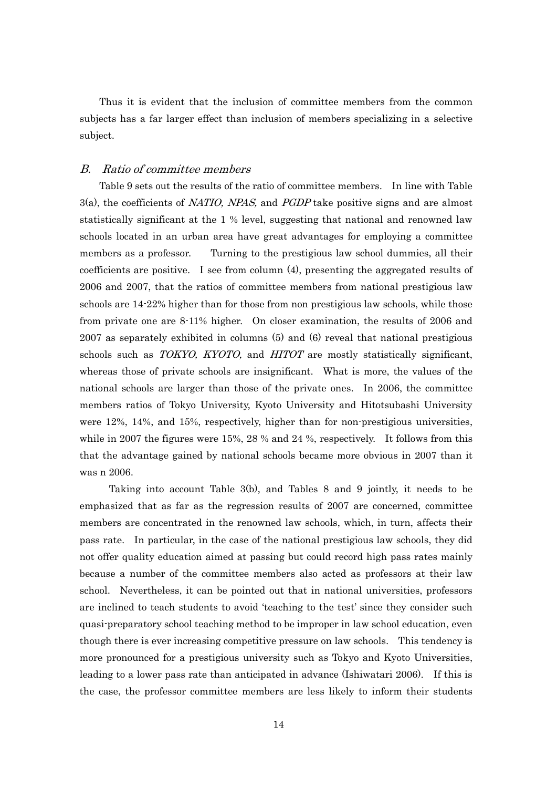Thus it is evident that the inclusion of committee members from the common subjects has a far larger effect than inclusion of members specializing in a selective subject.

#### B. Ratio of committee members

Table 9 sets out the results of the ratio of committee members. In line with Table 3(a), the coefficients of NATIO, NPAS, and PGDP take positive signs and are almost statistically significant at the 1 % level, suggesting that national and renowned law schools located in an urban area have great advantages for employing a committee members as a professor. Turning to the prestigious law school dummies, all their coefficients are positive. I see from column (4), presenting the aggregated results of 2006 and 2007, that the ratios of committee members from national prestigious law schools are 14-22% higher than for those from non prestigious law schools, while those from private one are 8-11% higher. On closer examination, the results of 2006 and 2007 as separately exhibited in columns (5) and (6) reveal that national prestigious schools such as *TOKYO, KYOTO*, and *HITOT* are mostly statistically significant, whereas those of private schools are insignificant. What is more, the values of the national schools are larger than those of the private ones. In 2006, the committee members ratios of Tokyo University, Kyoto University and Hitotsubashi University were 12%, 14%, and 15%, respectively, higher than for non-prestigious universities, while in 2007 the figures were 15%, 28 % and 24 %, respectively. It follows from this that the advantage gained by national schools became more obvious in 2007 than it was n 2006.

 Taking into account Table 3(b), and Tables 8 and 9 jointly, it needs to be emphasized that as far as the regression results of 2007 are concerned, committee members are concentrated in the renowned law schools, which, in turn, affects their pass rate. In particular, in the case of the national prestigious law schools, they did not offer quality education aimed at passing but could record high pass rates mainly because a number of the committee members also acted as professors at their law school. Nevertheless, it can be pointed out that in national universities, professors are inclined to teach students to avoid "teaching to the test" since they consider such quasi-preparatory school teaching method to be improper in law school education, even though there is ever increasing competitive pressure on law schools. This tendency is more pronounced for a prestigious university such as Tokyo and Kyoto Universities, leading to a lower pass rate than anticipated in advance (Ishiwatari 2006). If this is the case, the professor committee members are less likely to inform their students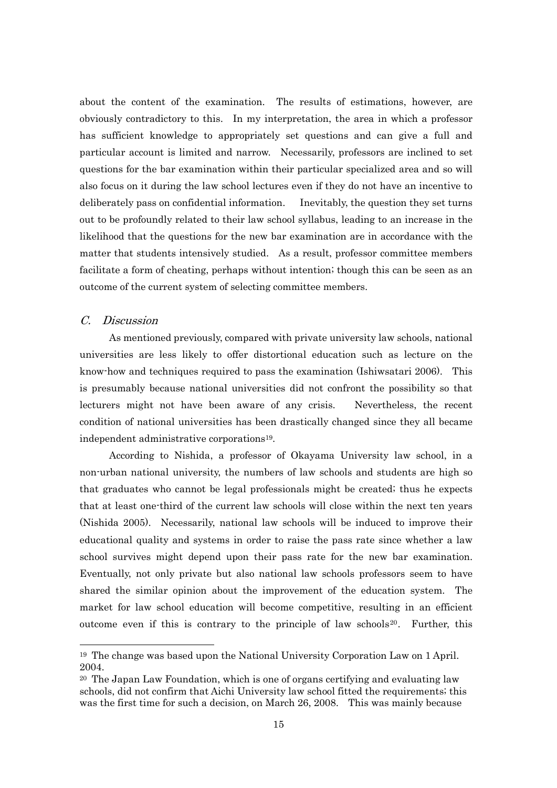about the content of the examination. The results of estimations, however, are obviously contradictory to this. In my interpretation, the area in which a professor has sufficient knowledge to appropriately set questions and can give a full and particular account is limited and narrow. Necessarily, professors are inclined to set questions for the bar examination within their particular specialized area and so will also focus on it during the law school lectures even if they do not have an incentive to deliberately pass on confidential information. Inevitably, the question they set turns out to be profoundly related to their law school syllabus, leading to an increase in the likelihood that the questions for the new bar examination are in accordance with the matter that students intensively studied. As a result, professor committee members facilitate a form of cheating, perhaps without intention; though this can be seen as an outcome of the current system of selecting committee members.

#### C. Discussion

1

As mentioned previously, compared with private university law schools, national universities are less likely to offer distortional education such as lecture on the know-how and techniques required to pass the examination (Ishiwsatari 2006). This is presumably because national universities did not confront the possibility so that lecturers might not have been aware of any crisis. Nevertheless, the recent condition of national universities has been drastically changed since they all became independent administrative corporations19.

According to Nishida, a professor of Okayama University law school, in a non-urban national university, the numbers of law schools and students are high so that graduates who cannot be legal professionals might be created; thus he expects that at least one-third of the current law schools will close within the next ten years (Nishida 2005). Necessarily, national law schools will be induced to improve their educational quality and systems in order to raise the pass rate since whether a law school survives might depend upon their pass rate for the new bar examination. Eventually, not only private but also national law schools professors seem to have shared the similar opinion about the improvement of the education system. The market for law school education will become competitive, resulting in an efficient outcome even if this is contrary to the principle of law schools<sup>20</sup>. Further, this

<sup>19</sup> The change was based upon the National University Corporation Law on 1 April. 2004.

<sup>20</sup> The Japan Law Foundation, which is one of organs certifying and evaluating law schools, did not confirm that Aichi University law school fitted the requirements; this was the first time for such a decision, on March 26, 2008. This was mainly because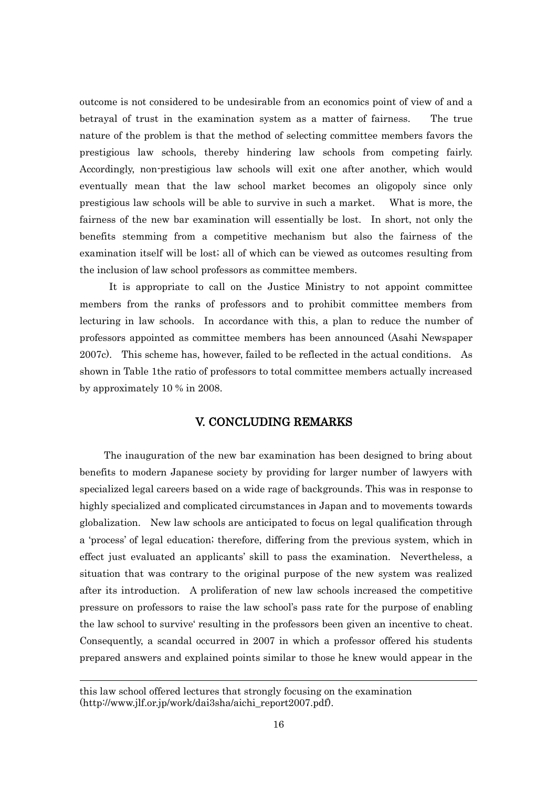outcome is not considered to be undesirable from an economics point of view of and a betrayal of trust in the examination system as a matter of fairness. The true nature of the problem is that the method of selecting committee members favors the prestigious law schools, thereby hindering law schools from competing fairly. Accordingly, non-prestigious law schools will exit one after another, which would eventually mean that the law school market becomes an oligopoly since only prestigious law schools will be able to survive in such a market. What is more, the fairness of the new bar examination will essentially be lost. In short, not only the benefits stemming from a competitive mechanism but also the fairness of the examination itself will be lost; all of which can be viewed as outcomes resulting from the inclusion of law school professors as committee members.

It is appropriate to call on the Justice Ministry to not appoint committee members from the ranks of professors and to prohibit committee members from lecturing in law schools. In accordance with this, a plan to reduce the number of professors appointed as committee members has been announced (Asahi Newspaper 2007c). This scheme has, however, failed to be reflected in the actual conditions. As shown in Table 1the ratio of professors to total committee members actually increased by approximately 10 % in 2008.

## V. CONCLUDING REMARKS

 The inauguration of the new bar examination has been designed to bring about benefits to modern Japanese society by providing for larger number of lawyers with specialized legal careers based on a wide rage of backgrounds. This was in response to highly specialized and complicated circumstances in Japan and to movements towards globalization. New law schools are anticipated to focus on legal qualification through a 'process' of legal education; therefore, differing from the previous system, which in effect just evaluated an applicants" skill to pass the examination. Nevertheless, a situation that was contrary to the original purpose of the new system was realized after its introduction. A proliferation of new law schools increased the competitive pressure on professors to raise the law school"s pass rate for the purpose of enabling the law school to survive" resulting in the professors been given an incentive to cheat. Consequently, a scandal occurred in 2007 in which a professor offered his students prepared answers and explained points similar to those he knew would appear in the

this law school offered lectures that strongly focusing on the examination (http://www.jlf.or.jp/work/dai3sha/aichi\_report2007.pdf).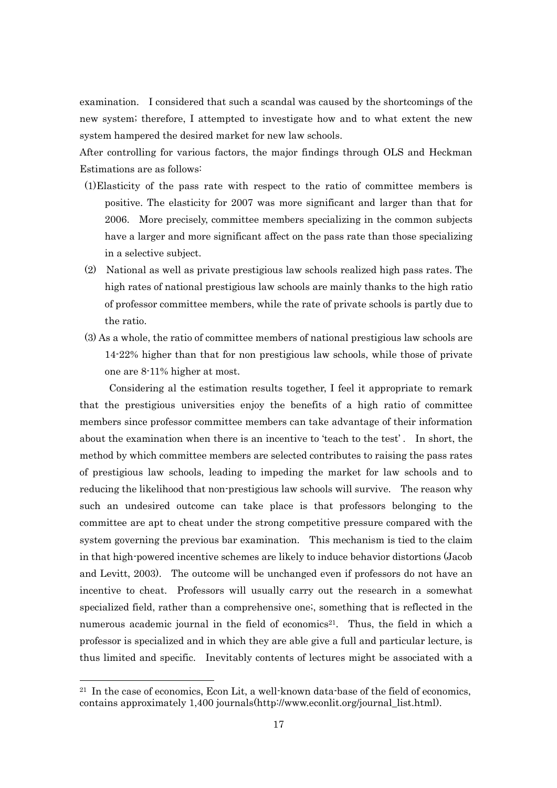examination. I considered that such a scandal was caused by the shortcomings of the new system; therefore, I attempted to investigate how and to what extent the new system hampered the desired market for new law schools.

After controlling for various factors, the major findings through OLS and Heckman Estimations are as follows:

- (1)Elasticity of the pass rate with respect to the ratio of committee members is positive. The elasticity for 2007 was more significant and larger than that for 2006. More precisely, committee members specializing in the common subjects have a larger and more significant affect on the pass rate than those specializing in a selective subject.
- (2) National as well as private prestigious law schools realized high pass rates. The high rates of national prestigious law schools are mainly thanks to the high ratio of professor committee members, while the rate of private schools is partly due to the ratio.
- (3) As a whole, the ratio of committee members of national prestigious law schools are 14-22% higher than that for non prestigious law schools, while those of private one are 8-11% higher at most.

Considering al the estimation results together, I feel it appropriate to remark that the prestigious universities enjoy the benefits of a high ratio of committee members since professor committee members can take advantage of their information about the examination when there is an incentive to 'teach to the test'. In short, the method by which committee members are selected contributes to raising the pass rates of prestigious law schools, leading to impeding the market for law schools and to reducing the likelihood that non-prestigious law schools will survive. The reason why such an undesired outcome can take place is that professors belonging to the committee are apt to cheat under the strong competitive pressure compared with the system governing the previous bar examination. This mechanism is tied to the claim in that high-powered incentive schemes are likely to induce behavior distortions (Jacob and Levitt, 2003). The outcome will be unchanged even if professors do not have an incentive to cheat. Professors will usually carry out the research in a somewhat specialized field, rather than a comprehensive one;, something that is reflected in the numerous academic journal in the field of economics<sup>21</sup>. Thus, the field in which a professor is specialized and in which they are able give a full and particular lecture, is thus limited and specific. Inevitably contents of lectures might be associated with a

<sup>&</sup>lt;sup>21</sup> In the case of economics, Econ Lit, a well-known data-base of the field of economics, contains approximately 1,400 journals(http://www.econlit.org/journal\_list.html).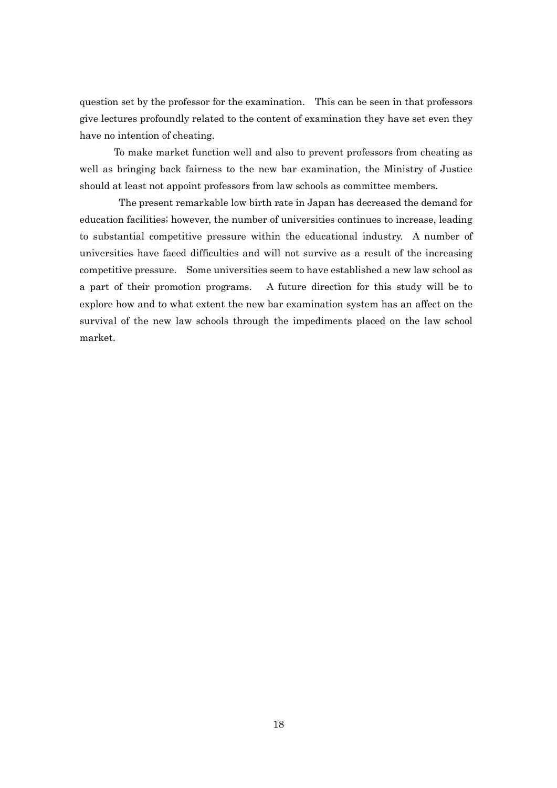question set by the professor for the examination. This can be seen in that professors give lectures profoundly related to the content of examination they have set even they have no intention of cheating.

 To make market function well and also to prevent professors from cheating as well as bringing back fairness to the new bar examination, the Ministry of Justice should at least not appoint professors from law schools as committee members.

The present remarkable low birth rate in Japan has decreased the demand for education facilities; however, the number of universities continues to increase, leading to substantial competitive pressure within the educational industry. A number of universities have faced difficulties and will not survive as a result of the increasing competitive pressure. Some universities seem to have established a new law school as a part of their promotion programs. A future direction for this study will be to explore how and to what extent the new bar examination system has an affect on the survival of the new law schools through the impediments placed on the law school market.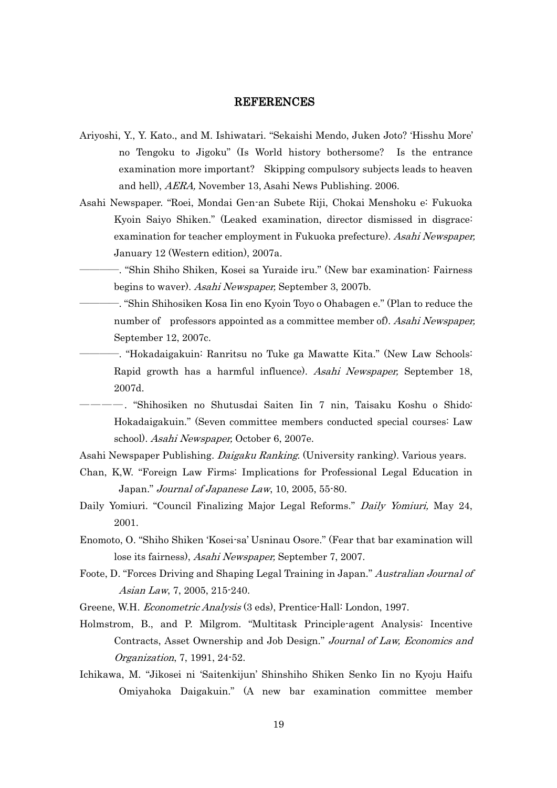#### REFERENCES

- Ariyoshi, Y., Y. Kato., and M. Ishiwatari. "Sekaishi Mendo, Juken Joto? "Hisshu More" no Tengoku to Jigoku" (Is World history bothersome? Is the entrance examination more important? Skipping compulsory subjects leads to heaven and hell), AERA, November 13, Asahi News Publishing. 2006.
- Asahi Newspaper. "Roei, Mondai Gen-an Subete Riji, Chokai Menshoku e: Fukuoka Kyoin Saiyo Shiken." (Leaked examination, director dismissed in disgrace: examination for teacher employment in Fukuoka prefecture). Asahi Newspaper, January 12 (Western edition), 2007a.
	- ――――. "Shin Shiho Shiken, Kosei sa Yuraide iru." (New bar examination: Fairness begins to waver). Asahi Newspaper, September 3, 2007b.
	- ――――. "Shin Shihosiken Kosa Iin eno Kyoin Toyo o Ohabagen e." (Plan to reduce the number of professors appointed as a committee member of). Asahi Newspaper, September 12, 2007c.
	- ――――. "Hokadaigakuin: Ranritsu no Tuke ga Mawatte Kita." (New Law Schools: Rapid growth has a harmful influence). Asahi Newspaper, September 18, 2007d.
- ――――. "Shihosiken no Shutusdai Saiten Iin 7 nin, Taisaku Koshu o Shido: Hokadaigakuin." (Seven committee members conducted special courses: Law school). Asahi Newspaper, October 6, 2007e.
- Asahi Newspaper Publishing. Daigaku Ranking. (University ranking). Various years.
- Chan, K,W. "Foreign Law Firms: Implications for Professional Legal Education in Japan." Journal of Japanese Law, 10, 2005, 55-80.
- Daily Yomiuri. "Council Finalizing Major Legal Reforms." Daily Yomiuri, May 24, 2001.
- Enomoto, O. "Shiho Shiken "Kosei-sa" Usninau Osore." (Fear that bar examination will lose its fairness), Asahi Newspaper, September 7, 2007.
- Foote, D. "Forces Driving and Shaping Legal Training in Japan." Australian Journal of Asian Law, 7, 2005, 215-240.
- Greene, W.H. Econometric Analysis (3 eds), Prentice-Hall: London, 1997.
- Holmstrom, B., and P. Milgrom. "Multitask Principle-agent Analysis: Incentive Contracts, Asset Ownership and Job Design." Journal of Law, Economics and Organization, 7, 1991, 24-52.
- Ichikawa, M. "Jikosei ni "Saitenkijun" Shinshiho Shiken Senko Iin no Kyoju Haifu Omiyahoka Daigakuin." (A new bar examination committee member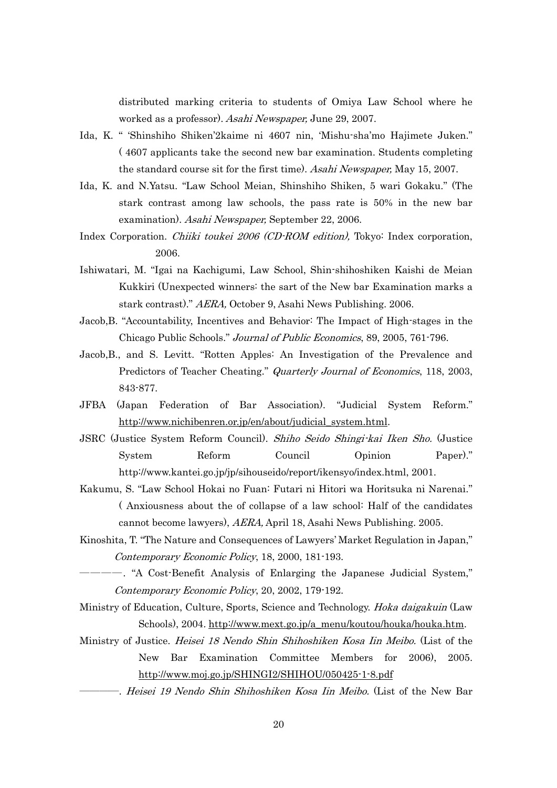distributed marking criteria to students of Omiya Law School where he worked as a professor). Asahi Newspaper, June 29, 2007.

- Ida, K. " "Shinshiho Shiken"2kaime ni 4607 nin, "Mishu-sha"mo Hajimete Juken." ( 4607 applicants take the second new bar examination. Students completing the standard course sit for the first time). Asahi Newspaper, May 15, 2007.
- Ida, K. and N.Yatsu. "Law School Meian, Shinshiho Shiken, 5 wari Gokaku." (The stark contrast among law schools, the pass rate is 50% in the new bar examination). Asahi Newspaper, September 22, 2006.
- Index Corporation. Chiiki toukei 2006 (CD-ROM edition), Tokyo: Index corporation, 2006.
- Ishiwatari, M. "Igai na Kachigumi, Law School, Shin-shihoshiken Kaishi de Meian Kukkiri (Unexpected winners: the sart of the New bar Examination marks a stark contrast)." AERA, October 9, Asahi News Publishing. 2006.
- Jacob,B. "Accountability, Incentives and Behavior: The Impact of High-stages in the Chicago Public Schools." Journal of Public Economics, 89, 2005, 761-796.
- Jacob,B., and S. Levitt. "Rotten Apples: An Investigation of the Prevalence and Predictors of Teacher Cheating." Quarterly Journal of Economics, 118, 2003, 843-877.
- JFBA (Japan Federation of Bar Association). "Judicial System Reform." [http://www.nichibenren.or.jp/en/about/judicial\\_system.html.](http://www.nichibenren.or.jp/en/about/judicial_system.html)
- JSRC (Justice System Reform Council). Shiho Seido Shingi-kai Iken Sho. (Justice System Reform Council Opinion Paper)." http://www.kantei.go.jp/jp/sihouseido/report/ikensyo/index.html, 2001.
- Kakumu, S. "Law School Hokai no Fuan: Futari ni Hitori wa Horitsuka ni Narenai." ( Anxiousness about the of collapse of a law school: Half of the candidates cannot become lawyers), AERA, April 18, Asahi News Publishing. 2005.
- Kinoshita, T. "The Nature and Consequences of Lawyers" Market Regulation in Japan," Contemporary Economic Policy, 18, 2000, 181-193.
	- ――――. "A Cost-Benefit Analysis of Enlarging the Japanese Judicial System," Contemporary Economic Policy, 20, 2002, 179-192.
- Ministry of Education, Culture, Sports, Science and Technology. *Hoka daigakuin* (Law Schools), 2004. [http://www.mext.go.jp/a\\_menu/koutou/houka/houka.htm.](http://www.mext.go.jp/a_menu/koutou/houka/houka.htm)
- Ministry of Justice. Heisei 18 Nendo Shin Shihoshiken Kosa Iin Meibo. (List of the New Bar Examination Committee Members for 2006), 2005. <http://www.moj.go.jp/SHINGI2/SHIHOU/050425-1-8.pdf>
	- ――――. Heisei 19 Nendo Shin Shihoshiken Kosa Iin Meibo. (List of the New Bar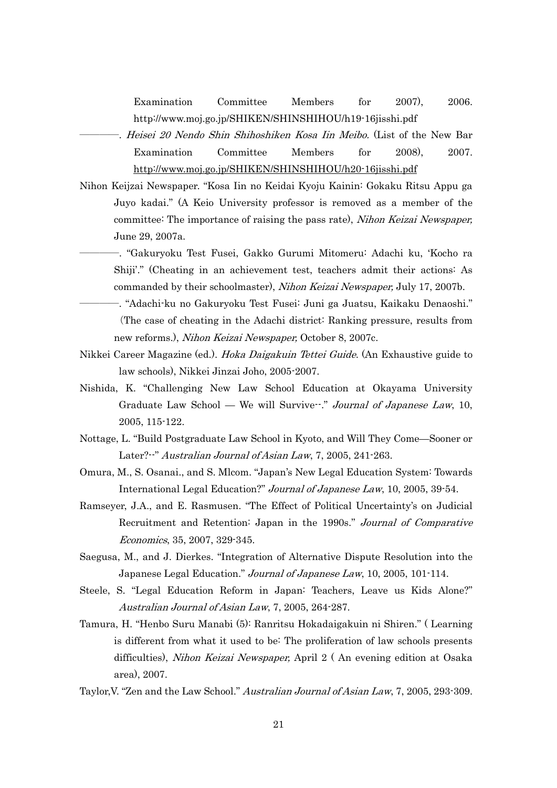Examination Committee Members for 2007), 2006. http://www.moj.go.jp/SHIKEN/SHINSHIHOU/h19-16jisshi.pdf

- -. *Heisei 20 Nendo Shin Shihoshiken Kosa Iin Meibo.* (List of the New Bar Examination Committee Members for 2008), 2007. <http://www.moj.go.jp/SHIKEN/SHINSHIHOU/h20-16jisshi.pdf>
- Nihon Keijzai Newspaper. "Kosa Iin no Keidai Kyoju Kainin: Gokaku Ritsu Appu ga Juyo kadai." (A Keio University professor is removed as a member of the committee: The importance of raising the pass rate), Nihon Keizai Newspaper, June 29, 2007a.
	- ――――. "Gakuryoku Test Fusei, Gakko Gurumi Mitomeru: Adachi ku, "Kocho ra Shiji"." (Cheating in an achievement test, teachers admit their actions: As commanded by their schoolmaster), Nihon Keizai Newspaper, July 17, 2007b.
	- ――――. "Adachi-ku no Gakuryoku Test Fusei: Juni ga Juatsu, Kaikaku Denaoshi." (The case of cheating in the Adachi district: Ranking pressure, results from new reforms.), Nihon Keizai Newspaper, October 8, 2007c.
- Nikkei Career Magazine (ed.). *Hoka Daigakuin Tettei Guide*. (An Exhaustive guide to law schools), Nikkei Jinzai Joho, 2005-2007.
- Nishida, K. "Challenging New Law School Education at Okayama University Graduate Law School — We will Survive<sup>--</sup>." Journal of Japanese Law, 10, 2005, 115-122.
- Nottage, L. "Build Postgraduate Law School in Kyoto, and Will They Come—Sooner or Later?--" Australian Journal of Asian Law, 7, 2005, 241-263.
- Omura, M., S. Osanai., and S. Mlcom. "Japan"s New Legal Education System: Towards International Legal Education?" Journal of Japanese Law, 10, 2005, 39-54.
- Ramseyer, J.A., and E. Rasmusen. "The Effect of Political Uncertainty"s on Judicial Recruitment and Retention: Japan in the 1990s." Journal of Comparative Economics, 35, 2007, 329-345.
- Saegusa, M., and J. Dierkes. "Integration of Alternative Dispute Resolution into the Japanese Legal Education." Journal of Japanese Law, 10, 2005, 101-114.
- Steele, S. "Legal Education Reform in Japan: Teachers, Leave us Kids Alone?" Australian Journal of Asian Law, 7, 2005, 264-287.
- Tamura, H. "Henbo Suru Manabi (5): Ranritsu Hokadaigakuin ni Shiren." ( Learning is different from what it used to be: The proliferation of law schools presents difficulties), Nihon Keizai Newspaper, April 2 ( An evening edition at Osaka area), 2007.
- Taylor,V. "Zen and the Law School." Australian Journal of Asian Law, 7, 2005, 293-309.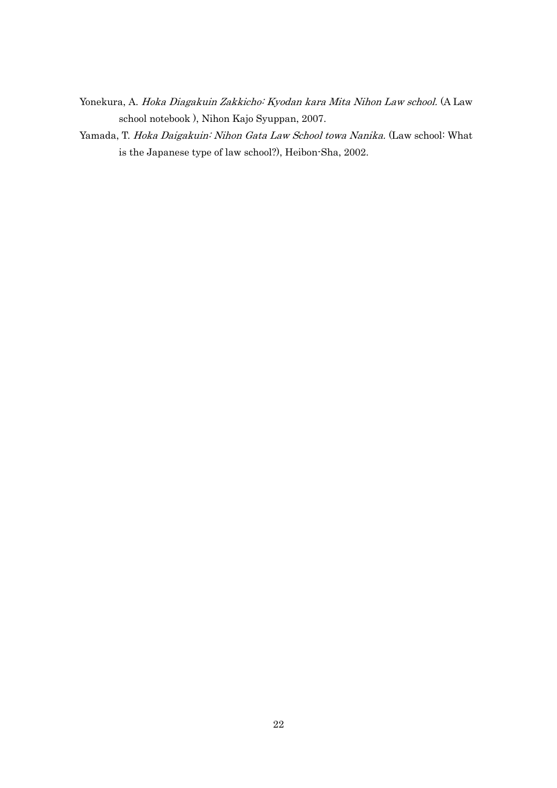- Yonekura, A. Hoka Diagakuin Zakkicho: Kyodan kara Mita Nihon Law school. (A Law school notebook ), Nihon Kajo Syuppan, 2007.
- Yamada, T. Hoka Daigakuin: Nihon Gata Law School towa Nanika. (Law school: What is the Japanese type of law school?), Heibon-Sha, 2002.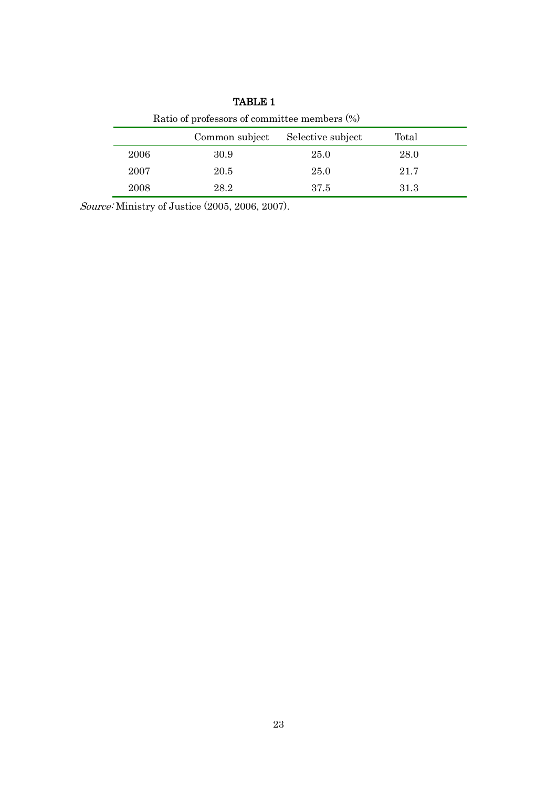| Ratio of professors of committee members $(\%)$ |      |      |      |  |  |  |  |  |  |
|-------------------------------------------------|------|------|------|--|--|--|--|--|--|
| Common subject<br>Total<br>Selective subject    |      |      |      |  |  |  |  |  |  |
| 2006                                            | 30.9 | 25.0 | 28.0 |  |  |  |  |  |  |
| 2007                                            | 20.5 | 25.0 | 21.7 |  |  |  |  |  |  |
| 2008                                            | 28.2 | 37.5 | 31.3 |  |  |  |  |  |  |

TABLE 1

Source: Ministry of Justice (2005, 2006, 2007).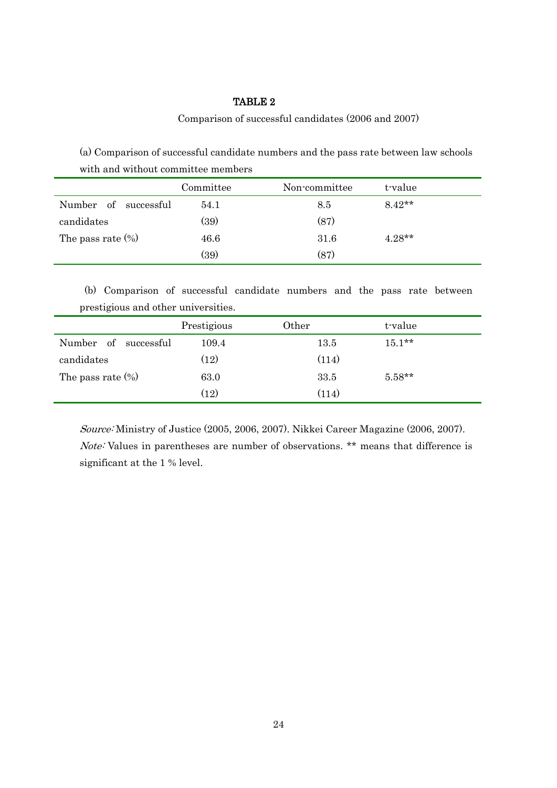#### Comparison of successful candidates (2006 and 2007)

(a) Comparison of successful candidate numbers and the pass rate between law schools with and without committee members

|                      | Committee | Non-committee | t-value  |  |
|----------------------|-----------|---------------|----------|--|
| Number of successful | 54.1      | 8.5           | $8.42**$ |  |
| candidates           | (39)      | (87)          |          |  |
| The pass rate $(\%)$ | 46.6      | 31.6          | $4.28**$ |  |
|                      | (39)      | (87)          |          |  |

 (b) Comparison of successful candidate numbers and the pass rate between prestigious and other universities.

|                         | Prestigious | Other | t-value  |  |
|-------------------------|-------------|-------|----------|--|
| Number of<br>successful | 109.4       | 13.5  | $15.1**$ |  |
| candidates              | (12)        | (114) |          |  |
| The pass rate $(\%)$    | 63.0        | 33.5  | $5.58**$ |  |
|                         | (12)        | (114) |          |  |

Source: Ministry of Justice (2005, 2006, 2007). Nikkei Career Magazine (2006, 2007). Note: Values in parentheses are number of observations. \*\* means that difference is significant at the 1 % level.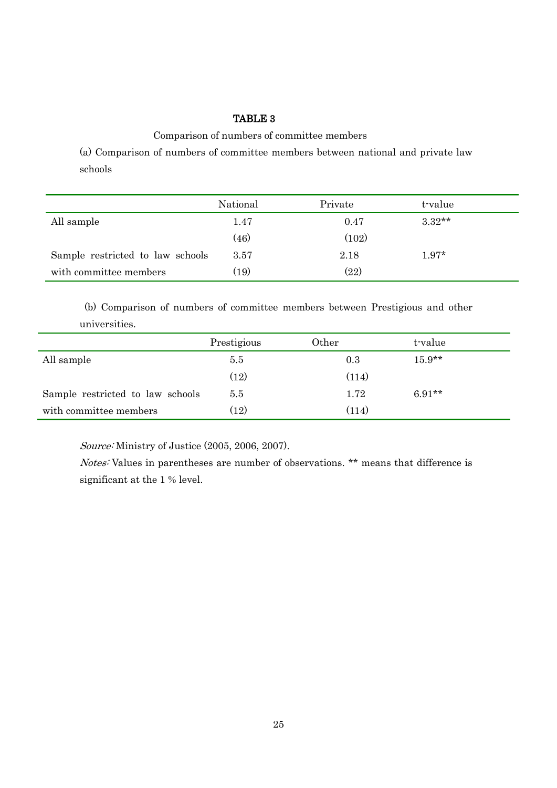Comparison of numbers of committee members

(a) Comparison of numbers of committee members between national and private law schools

|                                  | National | Private | t-value  |
|----------------------------------|----------|---------|----------|
| All sample                       | 1.47     | 0.47    | $3.32**$ |
|                                  | (46)     | (102)   |          |
| Sample restricted to law schools | 3.57     | 2.18    | $1.97*$  |
| with committee members           | (19)     | (22)    |          |

 (b) Comparison of numbers of committee members between Prestigious and other universities.

|                                  | Prestigious        | Other | t-value  |
|----------------------------------|--------------------|-------|----------|
| All sample                       | 5.5                | 0.3   | $15.9**$ |
|                                  | $\left(12\right)$  | (114) |          |
| Sample restricted to law schools | $5.5\,$            | 1.72  | $6.91**$ |
| with committee members           | $\left( 12\right)$ | (114) |          |

Source: Ministry of Justice (2005, 2006, 2007).

Notes: Values in parentheses are number of observations. \*\* means that difference is significant at the 1 % level.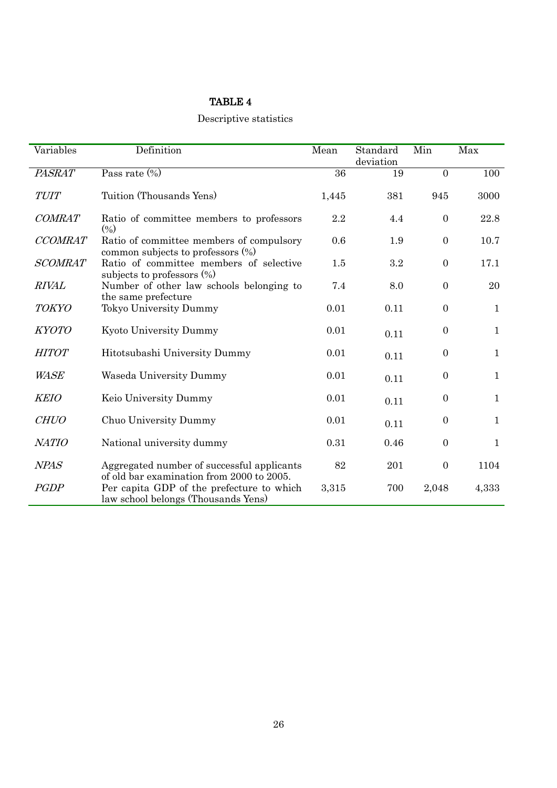# Descriptive statistics

| Variables      | Definition                                                                              | Mean            | Standard<br>deviation | Min            | Max          |
|----------------|-----------------------------------------------------------------------------------------|-----------------|-----------------------|----------------|--------------|
| <b>PASRAT</b>  | Pass rate $\overline{(\%)}$                                                             | $\overline{36}$ | 19                    | $\overline{0}$ | 100          |
| <b>TUIT</b>    | Tuition (Thousands Yens)                                                                | 1,445           | 381                   | 945            | 3000         |
| <b>COMRAT</b>  | Ratio of committee members to professors<br>(9/0)                                       | 2.2             | 4.4                   | $\mathbf{0}$   | 22.8         |
| <b>CCOMRAT</b> | Ratio of committee members of compulsory<br>common subjects to professors (%)           | 0.6             | 1.9                   | $\mathbf{0}$   | 10.7         |
| <b>SCOMRAT</b> | Ratio of committee members of selective<br>subjects to professors $(\%)$                | 1.5             | 3.2                   | $\mathbf{0}$   | 17.1         |
| <b>RIVAL</b>   | Number of other law schools belonging to<br>the same prefecture                         | 7.4             | 8.0                   | $\mathbf{0}$   | 20           |
| <b>TOKYO</b>   | Tokyo University Dummy                                                                  | 0.01            | 0.11                  | $\mathbf{0}$   | $\mathbf{1}$ |
| <b>KYOTO</b>   | Kyoto University Dummy                                                                  | 0.01            | 0.11                  | $\overline{0}$ | $\mathbf{1}$ |
| <b>HITOT</b>   | Hitotsubashi University Dummy                                                           | 0.01            | 0.11                  | $\overline{0}$ | $\mathbf{1}$ |
| <b>WASE</b>    | Waseda University Dummy                                                                 | 0.01            | 0.11                  | $\overline{0}$ | $\mathbf{1}$ |
| <b>KEIO</b>    | Keio University Dummy                                                                   | 0.01            | 0.11                  | $\overline{0}$ | $\mathbf{1}$ |
| <b>CHUO</b>    | Chuo University Dummy                                                                   | 0.01            | 0.11                  | $\overline{0}$ | $\mathbf{1}$ |
| <b>NATIO</b>   | National university dummy                                                               | 0.31            | 0.46                  | $\mathbf{0}$   | $\mathbf{1}$ |
| <b>NPAS</b>    | Aggregated number of successful applicants<br>of old bar examination from 2000 to 2005. | 82              | 201                   | $\mathbf{0}$   | 1104         |
| <b>PGDP</b>    | Per capita GDP of the prefecture to which<br>law school belongs (Thousands Yens)        | 3,315           | 700                   | 2,048          | 4,333        |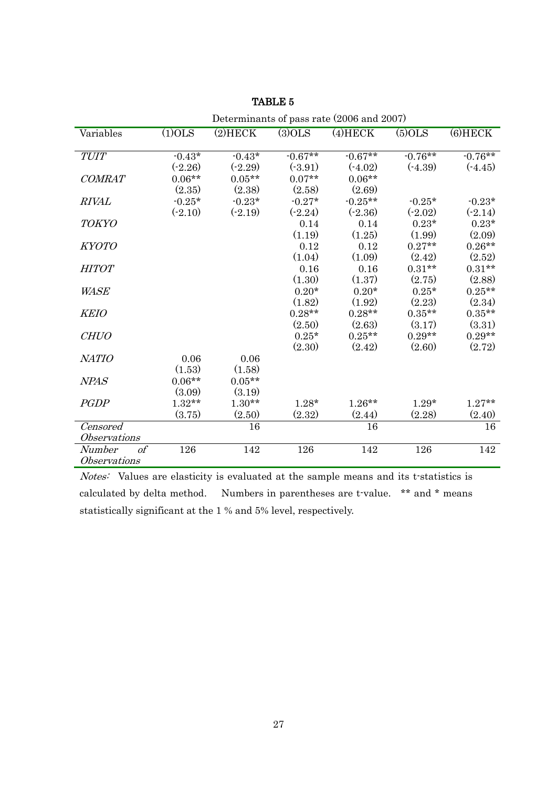|                            |           | Determinants of pass rate (2006 and 2007) |           |            |            |            |  |  |  |
|----------------------------|-----------|-------------------------------------------|-----------|------------|------------|------------|--|--|--|
| Variables                  | $(1)$ OLS | $(2)$ HECK                                | $(3)$ OLS | $(4)$ HECK | $(5)$ OLS  | $(6)$ HECK |  |  |  |
|                            |           |                                           |           |            |            |            |  |  |  |
| <b>TUIT</b>                | $-0.43*$  | $-0.43*$                                  | $-0.67**$ | $-0.67**$  | $-0.76***$ | $-0.76**$  |  |  |  |
|                            | $(-2.26)$ | $(-2.29)$                                 | (.3.91)   | $(-4.02)$  | $(-4.39)$  | $(-4.45)$  |  |  |  |
| <b>COMRAT</b>              | $0.06**$  | $0.05**$                                  | $0.07**$  | $0.06**$   |            |            |  |  |  |
|                            | (2.35)    | (2.38)                                    | (2.58)    | (2.69)     |            |            |  |  |  |
| <b>RIVAL</b>               | $-0.25*$  | $-0.23*$                                  | $-0.27*$  | $-0.25**$  | $-0.25*$   | $-0.23*$   |  |  |  |
|                            | $(-2.10)$ | $(-2.19)$                                 | $(-2.24)$ | $(-2.36)$  | $(-2.02)$  | $(-2.14)$  |  |  |  |
| <b>TOKYO</b>               |           |                                           | 0.14      | 0.14       | $0.23*$    | $0.23*$    |  |  |  |
|                            |           |                                           | (1.19)    | (1.25)     | (1.99)     | (2.09)     |  |  |  |
| <b>KYOTO</b>               |           |                                           | 0.12      | 0.12       | $0.27**$   | $0.26**$   |  |  |  |
|                            |           |                                           | (1.04)    | (1.09)     | (2.42)     | (2.52)     |  |  |  |
| HITOT                      |           |                                           | 0.16      | 0.16       | $0.31**$   | $0.31**$   |  |  |  |
|                            |           |                                           | (1.30)    | (1.37)     | (2.75)     | (2.88)     |  |  |  |
| <i>WASE</i>                |           |                                           | $0.20*$   | $0.20*$    | $0.25*$    | $0.25**$   |  |  |  |
|                            |           |                                           | (1.82)    | (1.92)     | (2.23)     | (2.34)     |  |  |  |
| <b>KEIO</b>                |           |                                           | $0.28**$  | $0.28**$   | $0.35**$   | $0.35**$   |  |  |  |
|                            |           |                                           | (2.50)    | (2.63)     | (3.17)     | (3.31)     |  |  |  |
| <b>CHUO</b>                |           |                                           | $0.25*$   | $0.25**$   | $0.29**$   | $0.29**$   |  |  |  |
|                            |           |                                           | (2.30)    | (2.42)     | (2.60)     | (2.72)     |  |  |  |
| <b>NATIO</b>               | 0.06      | 0.06                                      |           |            |            |            |  |  |  |
|                            | (1.53)    | (1.58)                                    |           |            |            |            |  |  |  |
| <b>NPAS</b>                | $0.06**$  | $0.05**$                                  |           |            |            |            |  |  |  |
|                            | (3.09)    | (3.19)                                    |           |            |            |            |  |  |  |
| <b>PGDP</b>                | $1.32**$  | $1.30**$                                  | $1.28*$   | $1.26**$   | $1.29*$    | $1.27**$   |  |  |  |
|                            | (3.75)    | (2.50)                                    | (2.32)    | (2.44)     | (2.28)     | (2.40)     |  |  |  |
| Censored                   |           | 16                                        |           | 16         |            | 16         |  |  |  |
| <i><b>Observations</b></i> |           |                                           |           |            |            |            |  |  |  |
| $\mathfrak{o} f$<br>Number | 126       | 142                                       | 126       | 142        | 126        | 142        |  |  |  |
| Observations               |           |                                           |           |            |            |            |  |  |  |

Notes: Values are elasticity is evaluated at the sample means and its t-statistics is calculated by delta method. Numbers in parentheses are t-value. \*\* and \* means statistically significant at the 1 % and 5% level, respectively.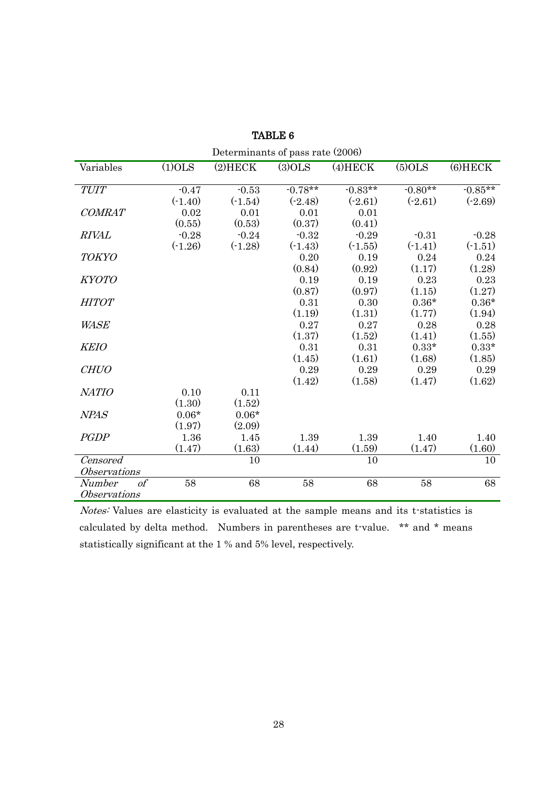| Determinants of pass rate (2006) |           |            |           |            |           |           |  |  |  |  |
|----------------------------------|-----------|------------|-----------|------------|-----------|-----------|--|--|--|--|
| Variables                        | $(1)$ OLS | $(2)$ HECK | $(3)$ OLS | $(4)$ HECK | $(5)$ OLS | $6$ HECK  |  |  |  |  |
| <b>TUIT</b>                      | $-0.47$   | $-0.53$    | $-0.78**$ | $-0.83**$  | $-0.80**$ | $-0.85**$ |  |  |  |  |
|                                  |           |            |           |            |           |           |  |  |  |  |
|                                  | $(-1.40)$ | $(-1.54)$  | $(-2.48)$ | $(-2.61)$  | $(-2.61)$ | $(-2.69)$ |  |  |  |  |
| <b>COMRAT</b>                    | 0.02      | 0.01       | 0.01      | 0.01       |           |           |  |  |  |  |
|                                  | (0.55)    | (0.53)     | (0.37)    | (0.41)     |           |           |  |  |  |  |
| <b>RIVAL</b>                     | $-0.28$   | $-0.24$    | $-0.32$   | $-0.29$    | $-0.31$   | $-0.28$   |  |  |  |  |
|                                  | $(-1.26)$ | $(-1.28)$  | $(-1.43)$ | $(-1.55)$  | $(-1.41)$ | $(-1.51)$ |  |  |  |  |
| <b>TOKYO</b>                     |           |            | 0.20      | 0.19       | 0.24      | 0.24      |  |  |  |  |
|                                  |           |            | (0.84)    | (0.92)     | (1.17)    | (1.28)    |  |  |  |  |
| <b>KYOTO</b>                     |           |            | 0.19      | 0.19       | 0.23      | 0.23      |  |  |  |  |
|                                  |           |            | (0.87)    | (0.97)     | (1.15)    | (1.27)    |  |  |  |  |
| <b>HITOT</b>                     |           |            | 0.31      | 0.30       | $0.36*$   | $0.36*$   |  |  |  |  |
|                                  |           |            | (1.19)    | (1.31)     | (1.77)    | (1.94)    |  |  |  |  |
| <i>WASE</i>                      |           |            | 0.27      | 0.27       | 0.28      | 0.28      |  |  |  |  |
|                                  |           |            | (1.37)    | (1.52)     | (1.41)    | (1.55)    |  |  |  |  |
| <b>KEIO</b>                      |           |            | 0.31      | 0.31       | $0.33*$   | $0.33*$   |  |  |  |  |
|                                  |           |            | (1.45)    | (1.61)     | (1.68)    | (1.85)    |  |  |  |  |
| <b>CHUO</b>                      |           |            | 0.29      | 0.29       | 0.29      | 0.29      |  |  |  |  |
|                                  |           |            | (1.42)    | (1.58)     | (1.47)    | (1.62)    |  |  |  |  |
| <b>NATIO</b>                     | 0.10      | 0.11       |           |            |           |           |  |  |  |  |
|                                  | (1.30)    | (1.52)     |           |            |           |           |  |  |  |  |
| <b>NPAS</b>                      | $0.06*$   | $0.06*$    |           |            |           |           |  |  |  |  |
|                                  | (1.97)    | (2.09)     |           |            |           |           |  |  |  |  |
| <b>PGDP</b>                      | 1.36      | 1.45       | 1.39      | 1.39       | 1.40      | 1.40      |  |  |  |  |
|                                  | (1.47)    | (1.63)     | (1.44)    | (1.59)     | (1.47)    | (1.60)    |  |  |  |  |
| Censored                         |           | 10         |           | 10         |           | 10        |  |  |  |  |
| <b>Observations</b>              |           |            |           |            |           |           |  |  |  |  |
| $\overline{of}$                  |           |            |           |            |           |           |  |  |  |  |
| Number                           | 58        | 68         | 58        | 68         | 58        | 68        |  |  |  |  |
| <i><b>Observations</b></i>       |           |            |           |            |           |           |  |  |  |  |

TABLE 6

Notes: Values are elasticity is evaluated at the sample means and its t-statistics is calculated by delta method. Numbers in parentheses are t-value. \*\* and \* means statistically significant at the 1 % and 5% level, respectively.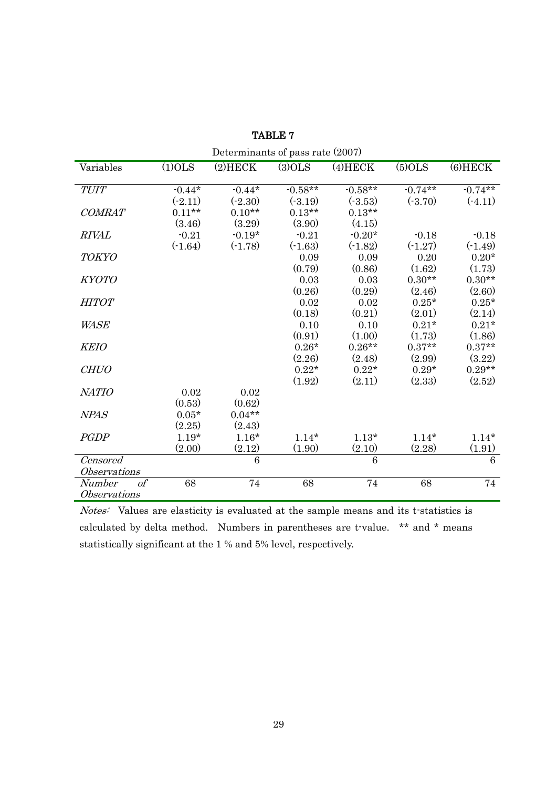| Determinants of pass rate (2007) |           |            |           |            |           |            |  |  |  |  |
|----------------------------------|-----------|------------|-----------|------------|-----------|------------|--|--|--|--|
| Variables                        | $(1)$ OLS | $(2)$ HECK | $(3)$ OLS | $(4)$ HECK | $(5)$ OLS | $(6)$ HECK |  |  |  |  |
|                                  |           |            |           |            |           |            |  |  |  |  |
| <b>TUIT</b>                      | $-0.44*$  | $-0.44*$   | $-0.58**$ | $-0.58**$  | $-0.74**$ | $-0.74***$ |  |  |  |  |
|                                  | $(-2.11)$ | $(-2.30)$  | (.3.19)   | (.3.53)    | $(-3.70)$ | $(-4.11)$  |  |  |  |  |
| <b>COMRAT</b>                    | $0.11**$  | $0.10**$   | $0.13**$  | $0.13**$   |           |            |  |  |  |  |
|                                  | (3.46)    | (3.29)     | (3.90)    | (4.15)     |           |            |  |  |  |  |
| <b>RIVAL</b>                     | $-0.21$   | $-0.19*$   | $-0.21$   | $-0.20*$   | $-0.18$   | $-0.18$    |  |  |  |  |
|                                  | $(-1.64)$ | $(-1.78)$  | $(-1.63)$ | $(-1.82)$  | $(-1.27)$ | $(-1.49)$  |  |  |  |  |
| <b>TOKYO</b>                     |           |            | 0.09      | 0.09       | 0.20      | $0.20*$    |  |  |  |  |
|                                  |           |            | (0.79)    | (0.86)     | (1.62)    | (1.73)     |  |  |  |  |
| <i>KYOTO</i>                     |           |            | 0.03      | 0.03       | $0.30**$  | $0.30**$   |  |  |  |  |
|                                  |           |            | (0.26)    | (0.29)     | (2.46)    | (2.60)     |  |  |  |  |
| <b>HITOT</b>                     |           |            | 0.02      | 0.02       | $0.25*$   | $0.25*$    |  |  |  |  |
|                                  |           |            | (0.18)    | (0.21)     | (2.01)    | (2.14)     |  |  |  |  |
| <i>WASE</i>                      |           |            | 0.10      | 0.10       | $0.21*$   | $0.21*$    |  |  |  |  |
|                                  |           |            | (0.91)    | (1.00)     | (1.73)    | (1.86)     |  |  |  |  |
| <b>KEIO</b>                      |           |            | $0.26*$   | $0.26**$   | $0.37**$  | $0.37**$   |  |  |  |  |
|                                  |           |            | (2.26)    | (2.48)     | (2.99)    | (3.22)     |  |  |  |  |
| <b>CHUO</b>                      |           |            | $0.22*$   | $0.22*$    | $0.29*$   | $0.29**$   |  |  |  |  |
|                                  |           |            | (1.92)    | (2.11)     | (2.33)    | (2.52)     |  |  |  |  |
| <b>NATIO</b>                     | 0.02      | 0.02       |           |            |           |            |  |  |  |  |
|                                  | (0.53)    | (0.62)     |           |            |           |            |  |  |  |  |
| <b>NPAS</b>                      | $0.05*$   | $0.04**$   |           |            |           |            |  |  |  |  |
|                                  | (2.25)    | (2.43)     |           |            |           |            |  |  |  |  |
| <b>PGDP</b>                      | $1.19*$   | $1.16*$    | $1.14*$   | $1.13*$    | $1.14*$   | $1.14*$    |  |  |  |  |
|                                  | (2.00)    | (2.12)     | (1.90)    | (2.10)     | (2.28)    | (1.91)     |  |  |  |  |
| Censored                         |           | 6          |           | 6          |           | 6          |  |  |  |  |
| <i><b>Observations</b></i>       |           |            |           |            |           |            |  |  |  |  |
| $\mathfrak{o} f$<br>Number       | 68        | 74         | 68        | 74         | 68        | 74         |  |  |  |  |
| Observations                     |           |            |           |            |           |            |  |  |  |  |

TABLE 7

Notes: Values are elasticity is evaluated at the sample means and its t-statistics is calculated by delta method. Numbers in parentheses are t-value. \*\* and \* means statistically significant at the 1 % and 5% level, respectively.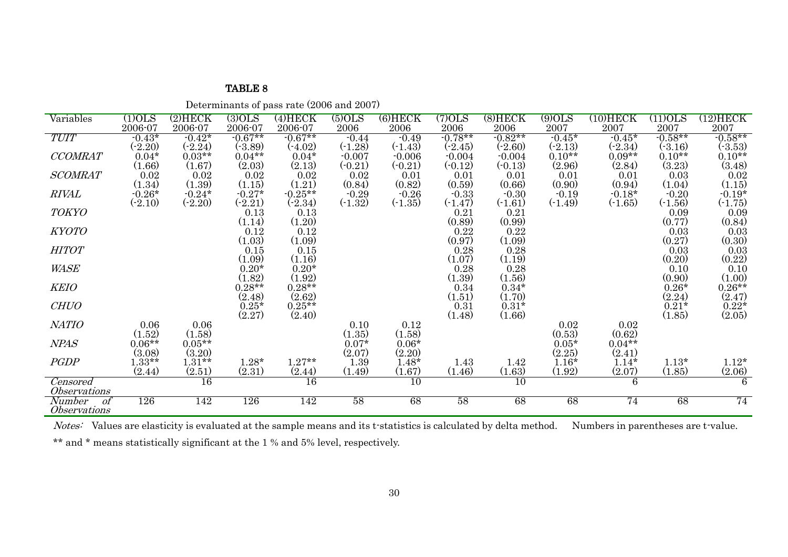|  | Determinants of pass rate (2006 and 2007) |
|--|-------------------------------------------|
|--|-------------------------------------------|

| Variables                  | $(1)$ OLS            | $(2)$ HECK      | (3)OLS              | $(4)$ HECK | $(5)$ OLS | $(6)$ HECK | (7)OLS    | $(8)$ HECK | $(9)$ OLS | $(10) \mathrm{HECK}$ | $\overline{\text{1100LS}}$ | (12)HECK                                      |
|----------------------------|----------------------|-----------------|---------------------|------------|-----------|------------|-----------|------------|-----------|----------------------|----------------------------|-----------------------------------------------|
|                            | 2006-07              | 2006-07         | 2006-07             | 2006-07    | 2006      | 2006       | 2006      | 2006       | 2007      | 2007                 | 2007                       | 2007                                          |
| <b>TUIT</b>                | $-0.43*$             | $-0.42*$        | $-0.67**$           | $-0.67**$  | $-0.44$   | $-0.49$    | $-0.78**$ | $-0.82**$  | $-0.45*$  | $-0.45*$             | $-0.58**$                  | $-0.58**$                                     |
|                            | $(-2.20)$            | $(-2.24)$       | $(-3.89)$           | $(-4.02)$  | $(-1.28)$ | $(-1.43)$  | $(-2.45)$ | $(-2.60)$  | $(-2.13)$ | $(-2.34)$            | $(-3.16)$                  | $(-3.53)$                                     |
| <b>CCOMRAT</b>             | $0.04*$              | $0.03**$        | $0.04**$            | $0.04*$    | $-0.007$  | $-0.006$   | $-0.004$  | $-0.004$   | $0.10**$  | $0.09**$             | $0.10**$                   | $0.10**$                                      |
|                            | (1.66)               | (1.67)          | (2.03)              | (2.13)     | $(-0.21)$ | $(-0.21)$  | $(-0.12)$ | $(-0.13)$  | (2.96)    | (2.84)               | (3.23)                     | (3.48)                                        |
| <b>SCOMRAT</b>             | 0.02                 | 0.02            | 0.02                | 0.02       | 0.02      | 0.01       | 0.01      | 0.01       | 0.01      | 0.01                 | 0.03                       | 0.02                                          |
|                            |                      | (1.39)          | (1.15)              | (1.21)     | (0.84)    | (0.82)     | (0.59)    | (0.66)     | (0.90)    | (0.94)               | (1.04)                     |                                               |
| <i>RIVAL</i>               | $(1.34)$<br>$-0.26*$ | $-0.24*$        | $-0.27*$            | $-0.25**$  | $-0.29$   | $-0.26$    | $-0.33$   | $-0.30$    | $-0.19$   | $-0.18*$             | $-0.20$                    | $(1.15)$<br>$-0.19*$                          |
|                            |                      |                 |                     |            |           |            |           |            |           |                      |                            |                                               |
|                            | $(-2.10)$            | $(-2.20)$       | $(-2.21)$           | $(-2.34)$  | $(-1.32)$ | $(-1.35)$  | $(-1.47)$ | $(-1.61)$  | $(-1.49)$ | $(-1.65)$            | $(-1.56)$                  | $(-1.75)$                                     |
| <b>TOKYO</b>               |                      |                 | 0.13                | 0.13       |           |            | 0.21      | 0.21       |           |                      | 0.09                       | 0.09                                          |
|                            |                      |                 | (1.14)              | (1.20)     |           |            | (0.89)    | (0.99)     |           |                      | (0.77)                     | (0.84)                                        |
| <b>KYOTO</b>               |                      |                 | 0.12                | 0.12       |           |            | 0.22      | $\rm 0.22$ |           |                      | 0.03                       | 0.03                                          |
|                            |                      |                 | (1.03)              | (1.09)     |           |            | (0.97)    | (1.09)     |           |                      | (0.27)                     | $(0.30)$<br>0.03                              |
| <b>HITOT</b>               |                      |                 | 0.15                | 0.15       |           |            | 0.28      | 0.28       |           |                      | 0.03                       |                                               |
|                            |                      |                 | (1.09)              | (1.16)     |           |            | (1.07)    | (1.19)     |           |                      | (0.20)                     | (0.22)                                        |
| <b>WASE</b>                |                      |                 | $0.20*$             | $0.20*$    |           |            | 0.28      | 0.28       |           |                      | 0.10                       |                                               |
|                            |                      |                 | (1.82)              | (1.92)     |           |            | (1.39)    | (1.56)     |           |                      | (0.90)                     | $\begin{array}{c} 0.10 \\ (1.00) \end{array}$ |
|                            |                      |                 |                     |            |           |            |           |            |           |                      |                            |                                               |
| <b>KEIO</b>                |                      |                 | $0.28**$            | $0.28**$   |           |            | 0.34      | $0.34*$    |           |                      | $0.26*$                    | $0.26**$                                      |
|                            |                      |                 | $(2.48)$<br>$0.25*$ | (2.62)     |           |            | (1.51)    | (1.70)     |           |                      | (2.24)                     | $(2.47)$<br>0.22*                             |
| <b>CHUO</b>                |                      |                 |                     | $0.25**$   |           |            | 0.31      | $0.31*$    |           |                      | $0.21*$                    |                                               |
|                            |                      |                 | (2.27)              | (2.40)     |           |            | (1.48)    | (1.66)     |           |                      | (1.85)                     | (2.05)                                        |
| NATIO                      | 0.06                 | 0.06            |                     |            | 0.10      | 0.12       |           |            | 0.02      | 0.02                 |                            |                                               |
|                            | (1.52)               | (1.58)          |                     |            | (1.35)    | (1.58)     |           |            | (0.53)    | (0.62)               |                            |                                               |
| <b>NPAS</b>                | $0.06**$             | $0.05**$        |                     |            | $0.07*$   | $0.06*$    |           |            | $0.05*$   | $0.04**$             |                            |                                               |
|                            |                      | (3.20)          |                     |            | (2.07)    |            |           |            |           | (2.41)               |                            |                                               |
|                            | (3.08)               |                 |                     |            |           | (2.20)     |           |            | (2.25)    |                      |                            |                                               |
| <b>PGDP</b>                | $1.33**$             | $1.31**$        | $1.28*$             | $1.27**$   | 1.39      | $1.48*$    | 1.43      | 1.42       | $1.16*$   | $1.14*$              | $1.13*$                    | $1.12*$                                       |
|                            | (2.44)               | (2.51)          | (2.31)              | (2.44)     | (1.49)    | (1.67)     | (1.46)    | (1.63)     | (1.92)    | (2.07)               | (1.85)                     | (2.06)                                        |
| Censored                   |                      | $\overline{16}$ |                     | 16         |           | 10         |           | 10         |           | 6                    |                            | 6                                             |
| <i><b>Observations</b></i> |                      |                 |                     |            |           |            |           |            |           |                      |                            |                                               |
| <i>Number</i><br>of        | 126                  | 142             | 126                 | 142        | 58        | 68         | 58        | 68         | 68        | 74                   | 68                         | 74                                            |
|                            |                      |                 |                     |            |           |            |           |            |           |                      |                            |                                               |
| <i><b>Observations</b></i> |                      |                 |                     |            |           |            |           |            |           |                      |                            |                                               |

Notes: Values are elasticity is evaluated at the sample means and its t-statistics is calculated by delta method. Numbers in parentheses are t-value.

\*\* and \* means statistically significant at the 1 % and 5% level, respectively.